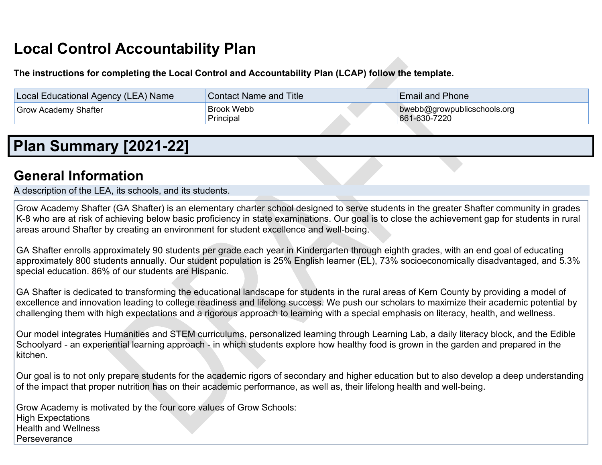# **Local Control Accountability Plan**

**The instructions for completing the Local Control and Accountability Plan (LCAP) follow the template.**

| Local Educational Agency (LEA) Name | Contact Name and Title         | <b>Email and Phone</b>                          |
|-------------------------------------|--------------------------------|-------------------------------------------------|
| Grow Academy Shafter                | <b>Brook Webb</b><br>Principal | $ $ bwebb@growpublicschools.org<br>661-630-7220 |

# **[Plan Summary](http://www.doc-tracking.com/screenshots/21LCAP/Instructions/21LCAPInstructions.htm#PlanSummary) [2021-22]**

### **General [Information](http://www.doc-tracking.com/screenshots/21LCAP/Instructions/21LCAPInstructions.htm#generalinformation)**

A description of the LEA, its schools, and its students.

Grow Academy Shafter (GA Shafter) is an elementary charter school designed to serve students in the greater Shafter community in grades K-8 who are at risk of achieving below basic proficiency in state examinations. Our goal is to close the achievement gap for students in rural areas around Shafter by creating an environment for student excellence and well-being.

GA Shafter enrolls approximately 90 students per grade each year in Kindergarten through eighth grades, with an end goal of educating approximately 800 students annually. Our student population is 25% English learner (EL), 73% socioeconomically disadvantaged, and 5.3% special education. 86% of our students are Hispanic.

GA Shafter is dedicated to transforming the educational landscape for students in the rural areas of Kern County by providing a model of excellence and innovation leading to college readiness and lifelong success. We push our scholars to maximize their academic potential by challenging them with high expectations and a rigorous approach to learning with a special emphasis on literacy, health, and wellness.

Our model integrates Humanities and STEM curriculums, personalized learning through Learning Lab, a daily literacy block, and the Edible Schoolyard - an experiential learning approach - in which students explore how healthy food is grown in the garden and prepared in the kitchen.

Our goal is to not only prepare students for the academic rigors of secondary and higher education but to also develop a deep understanding of the impact that proper nutrition has on their academic performance, as well as, their lifelong health and well-being.

Grow Academy is motivated by the four core values of Grow Schools: High Expectations Health and Wellness

**Perseverance**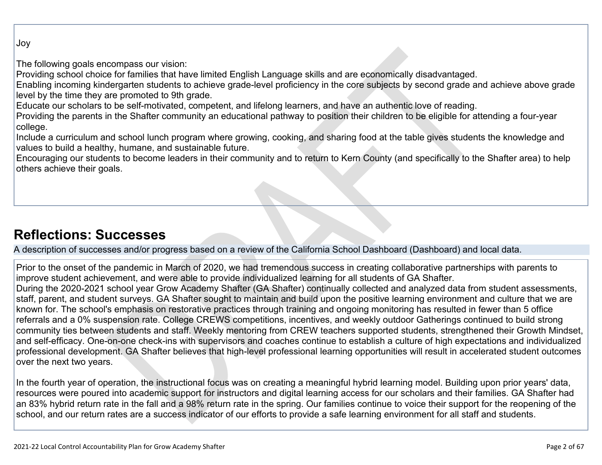Joy

The following goals encompass our vision:

Providing school choice for families that have limited English Language skills and are economically disadvantaged.

Enabling incoming kindergarten students to achieve grade-level proficiency in the core subjects by second grade and achieve above grade level by the time they are promoted to 9th grade.

Educate our scholars to be self-motivated, competent, and lifelong learners, and have an authentic love of reading.

Providing the parents in the Shafter community an educational pathway to position their children to be eligible for attending a four-year college.

Include a curriculum and school lunch program where growing, cooking, and sharing food at the table gives students the knowledge and values to build a healthy, humane, and sustainable future.

Encouraging our students to become leaders in their community and to return to Kern County (and specifically to the Shafter area) to help others achieve their goals.

## **[Reflections:](http://www.doc-tracking.com/screenshots/21LCAP/Instructions/21LCAPInstructions.htm#ReflectionsSuccesses) Successes**

A description of successes and/or progress based on a review of the California School Dashboard (Dashboard) and local data.

Prior to the onset of the pandemic in March of 2020, we had tremendous success in creating collaborative partnerships with parents to improve student achievement, and were able to provide individualized learning for all students of GA Shafter.

During the 2020-2021 school year Grow Academy Shafter (GA Shafter) continually collected and analyzed data from student assessments, staff, parent, and student surveys. GA Shafter sought to maintain and build upon the positive learning environment and culture that we are known for. The school's emphasis on restorative practices through training and ongoing monitoring has resulted in fewer than 5 office referrals and a 0% suspension rate. College CREWS competitions, incentives, and weekly outdoor Gatherings continued to build strong community ties between students and staff. Weekly mentoring from CREW teachers supported students, strengthened their Growth Mindset, and self-efficacy. One-on-one check-ins with supervisors and coaches continue to establish a culture of high expectations and individualized professional development. GA Shafter believes that high-level professional learning opportunities will result in accelerated student outcomes over the next two years.

In the fourth year of operation, the instructional focus was on creating a meaningful hybrid learning model. Building upon prior years' data, resources were poured into academic support for instructors and digital learning access for our scholars and their families. GA Shafter had an 83% hybrid return rate in the fall and a 98% return rate in the spring. Our families continue to voice their support for the reopening of the school, and our return rates are a success indicator of our efforts to provide a safe learning environment for all staff and students.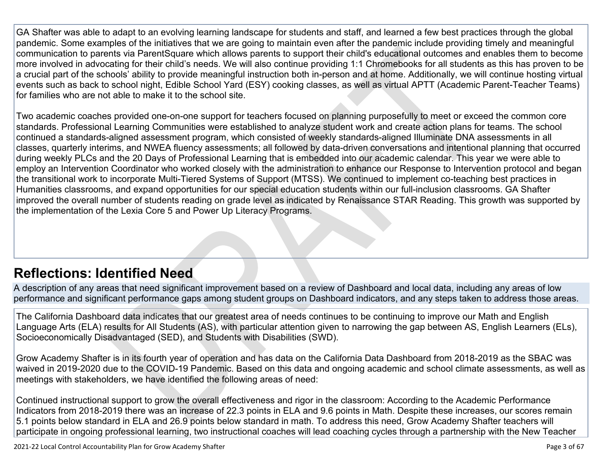GA Shafter was able to adapt to an evolving learning landscape for students and staff, and learned a few best practices through the global pandemic. Some examples of the initiatives that we are going to maintain even after the pandemic include providing timely and meaningful communication to parents via ParentSquare which allows parents to support their child's educational outcomes and enables them to become more involved in advocating for their child's needs. We will also continue providing 1:1 Chromebooks for all students as this has proven to be a crucial part of the schools' ability to provide meaningful instruction both in-person and at home. Additionally, we will continue hosting virtual events such as back to school night, Edible School Yard (ESY) cooking classes, as well as virtual APTT (Academic Parent-Teacher Teams) for families who are not able to make it to the school site.

Two academic coaches provided one-on-one support for teachers focused on planning purposefully to meet or exceed the common core standards. Professional Learning Communities were established to analyze student work and create action plans for teams. The school continued a standards-aligned assessment program, which consisted of weekly standards-aligned Illuminate DNA assessments in all classes, quarterly interims, and NWEA fluency assessments; all followed by data-driven conversations and intentional planning that occurred during weekly PLCs and the 20 Days of Professional Learning that is embedded into our academic calendar. This year we were able to employ an Intervention Coordinator who worked closely with the administration to enhance our Response to Intervention protocol and began the transitional work to incorporate Multi-Tiered Systems of Support (MTSS). We continued to implement co-teaching best practices in Humanities classrooms, and expand opportunities for our special education students within our full-inclusion classrooms. GA Shafter improved the overall number of students reading on grade level as indicated by Renaissance STAR Reading. This growth was supported by the implementation of the Lexia Core 5 and Power Up Literacy Programs.

## **[Reflections:](http://www.doc-tracking.com/screenshots/21LCAP/Instructions/21LCAPInstructions.htm#ReflectionsIdentifiedNeed) Identified Need**

A description of any areas that need significant improvement based on a review of Dashboard and local data, including any areas of low performance and significant performance gaps among student groups on Dashboard indicators, and any steps taken to address those areas.

The California Dashboard data indicates that our greatest area of needs continues to be continuing to improve our Math and English Language Arts (ELA) results for All Students (AS), with particular attention given to narrowing the gap between AS, English Learners (ELs), Socioeconomically Disadvantaged (SED), and Students with Disabilities (SWD).

Grow Academy Shafter is in its fourth year of operation and has data on the California Data Dashboard from 2018-2019 as the SBAC was waived in 2019-2020 due to the COVID-19 Pandemic. Based on this data and ongoing academic and school climate assessments, as well as meetings with stakeholders, we have identified the following areas of need:

Continued instructional support to grow the overall effectiveness and rigor in the classroom: According to the Academic Performance Indicators from 2018-2019 there was an increase of 22.3 points in ELA and 9.6 points in Math. Despite these increases, our scores remain 5.1 points below standard in ELA and 26.9 points below standard in math. To address this need, Grow Academy Shafter teachers will participate in ongoing professional learning, two instructional coaches will lead coaching cycles through a partnership with the New Teacher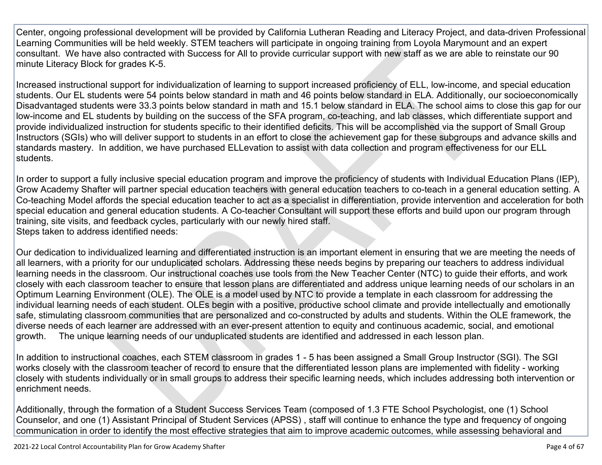Center, ongoing professional development will be provided by California Lutheran Reading and Literacy Project, and data-driven Professional Learning Communities will be held weekly. STEM teachers will participate in ongoing training from Loyola Marymount and an expert consultant. We have also contracted with Success for All to provide curricular support with new staff as we are able to reinstate our 90 minute Literacy Block for grades K-5.

Increased instructional support for individualization of learning to support increased proficiency of ELL, low-income, and special education students. Our EL students were 54 points below standard in math and 46 points below standard in ELA. Additionally, our socioeconomically Disadvantaged students were 33.3 points below standard in math and 15.1 below standard in ELA. The school aims to close this gap for our low-income and EL students by building on the success of the SFA program, co-teaching, and lab classes, which differentiate support and provide individualized instruction for students specific to their identified deficits. This will be accomplished via the support of Small Group Instructors (SGIs) who will deliver support to students in an effort to close the achievement gap for these subgroups and advance skills and standards mastery. In addition, we have purchased ELLevation to assist with data collection and program effectiveness for our ELL students.

In order to support a fully inclusive special education program and improve the proficiency of students with Individual Education Plans (IEP), Grow Academy Shafter will partner special education teachers with general education teachers to co-teach in a general education setting. A Co-teaching Model affords the special education teacher to act as a specialist in differentiation, provide intervention and acceleration for both special education and general education students. A Co-teacher Consultant will support these efforts and build upon our program through training, site visits, and feedback cycles, particularly with our newly hired staff. Steps taken to address identified needs:

Our dedication to individualized learning and differentiated instruction is an important element in ensuring that we are meeting the needs of all learners, with a priority for our unduplicated scholars. Addressing these needs begins by preparing our teachers to address individual learning needs in the classroom. Our instructional coaches use tools from the New Teacher Center (NTC) to guide their efforts, and work closely with each classroom teacher to ensure that lesson plans are differentiated and address unique learning needs of our scholars in an Optimum Learning Environment (OLE). The OLE is a model used by NTC to provide a template in each classroom for addressing the individual learning needs of each student. OLEs begin with a positive, productive school climate and provide intellectually and emotionally safe, stimulating classroom communities that are personalized and co-constructed by adults and students. Within the OLE framework, the diverse needs of each learner are addressed with an ever-present attention to equity and continuous academic, social, and emotional growth. The unique learning needs of our unduplicated students are identified and addressed in each lesson plan.

In addition to instructional coaches, each STEM classroom in grades 1 - 5 has been assigned a Small Group Instructor (SGI). The SGI works closely with the classroom teacher of record to ensure that the differentiated lesson plans are implemented with fidelity - working closely with students individually or in small groups to address their specific learning needs, which includes addressing both intervention or enrichment needs.

Additionally, through the formation of a Student Success Services Team (composed of 1.3 FTE School Psychologist, one (1) School Counselor, and one (1) Assistant Principal of Student Services (APSS) , staff will continue to enhance the type and frequency of ongoing communication in order to identify the most effective strategies that aim to improve academic outcomes, while assessing behavioral and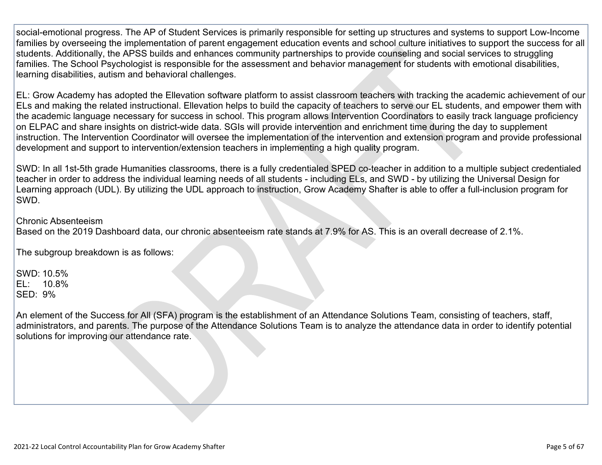social-emotional progress. The AP of Student Services is primarily responsible for setting up structures and systems to support Low-Income families by overseeing the implementation of parent engagement education events and school culture initiatives to support the success for all students. Additionally, the APSS builds and enhances community partnerships to provide counseling and social services to struggling families. The School Psychologist is responsible for the assessment and behavior management for students with emotional disabilities, learning disabilities, autism and behavioral challenges.

EL: Grow Academy has adopted the Ellevation software platform to assist classroom teachers with tracking the academic achievement of our ELs and making the related instructional. Ellevation helps to build the capacity of teachers to serve our EL students, and empower them with the academic language necessary for success in school. This program allows Intervention Coordinators to easily track language proficiency on ELPAC and share insights on district-wide data. SGIs will provide intervention and enrichment time during the day to supplement instruction. The Intervention Coordinator will oversee the implementation of the intervention and extension program and provide professional development and support to intervention/extension teachers in implementing a high quality program.

SWD: In all 1st-5th grade Humanities classrooms, there is a fully credentialed SPED co-teacher in addition to a multiple subject credentialed teacher in order to address the individual learning needs of all students - including ELs, and SWD - by utilizing the Universal Design for Learning approach (UDL). By utilizing the UDL approach to instruction, Grow Academy Shafter is able to offer a full-inclusion program for SWD.

Chronic Absenteeism

Based on the 2019 Dashboard data, our chronic absenteeism rate stands at 7.9% for AS. This is an overall decrease of 2.1%.

The subgroup breakdown is as follows:

SWD: 10.5%  $EL: 10.8\%$ SED: 9%

An element of the Success for All (SFA) program is the establishment of an Attendance Solutions Team, consisting of teachers, staff, administrators, and parents. The purpose of the Attendance Solutions Team is to analyze the attendance data in order to identify potential solutions for improving our attendance rate.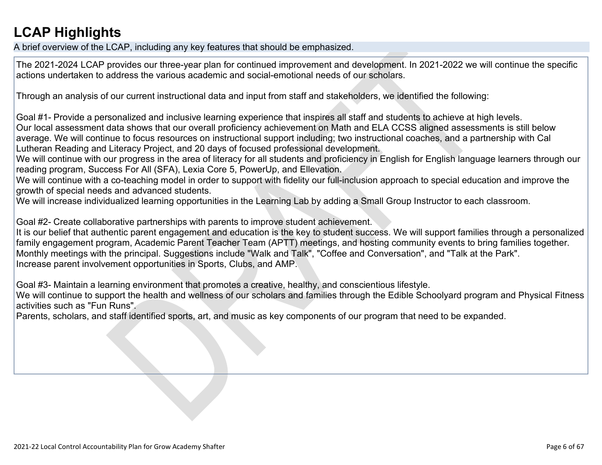## **LCAP [Highlights](http://www.doc-tracking.com/screenshots/21LCAP/Instructions/21LCAPInstructions.htm#LCAPHighlights)**

A brief overview of the LCAP, including any key features that should be emphasized.

The 2021-2024 LCAP provides our three-year plan for continued improvement and development. In 2021-2022 we will continue the specific actions undertaken to address the various academic and social-emotional needs of our scholars.

Through an analysis of our current instructional data and input from staff and stakeholders, we identified the following:

Goal #1- Provide a personalized and inclusive learning experience that inspires all staff and students to achieve at high levels. Our local assessment data shows that our overall proficiency achievement on Math and ELA CCSS aligned assessments is still below average. We will continue to focus resources on instructional support including; two instructional coaches, and a partnership with Cal Lutheran Reading and Literacy Project, and 20 days of focused professional development.

We will continue with our progress in the area of literacy for all students and proficiency in English for English language learners through our reading program, Success For All (SFA), Lexia Core 5, PowerUp, and Ellevation.

We will continue with a co-teaching model in order to support with fidelity our full-inclusion approach to special education and improve the growth of special needs and advanced students.

We will increase individualized learning opportunities in the Learning Lab by adding a Small Group Instructor to each classroom.

Goal #2- Create collaborative partnerships with parents to improve student achievement.

It is our belief that authentic parent engagement and education is the key to student success. We will support families through a personalized family engagement program, Academic Parent Teacher Team (APTT) meetings, and hosting community events to bring families together. Monthly meetings with the principal. Suggestions include "Walk and Talk", "Coffee and Conversation", and "Talk at the Park". Increase parent involvement opportunities in Sports, Clubs, and AMP.

Goal #3- Maintain a learning environment that promotes a creative, healthy, and conscientious lifestyle.

We will continue to support the health and wellness of our scholars and families through the Edible Schoolyard program and Physical Fitness activities such as "Fun Runs".

Parents, scholars, and staff identified sports, art, and music as key components of our program that need to be expanded.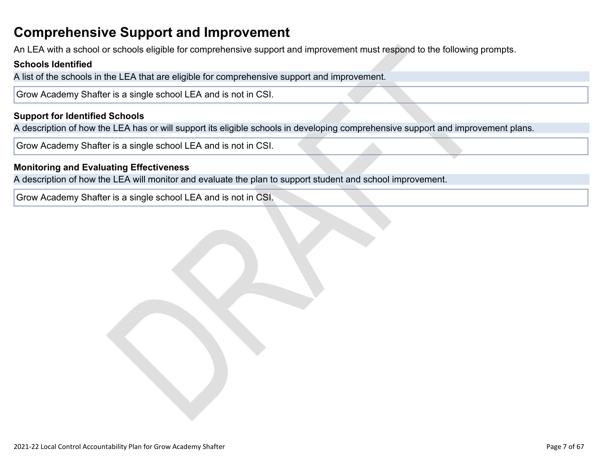## **[Comprehensive](http://www.doc-tracking.com/screenshots/21LCAP/Instructions/21LCAPInstructions.htm#ComprehensiveSupportandImprovement) Support and Improvement**

An LEA with a school or schools eligible for comprehensive support and improvement must respond to the following prompts.

#### **Schools [Identified](http://www.doc-tracking.com/screenshots/21LCAP/Instructions/21LCAPInstructions.htm#SchoolsIdentified)**

A list of the schools in the LEA that are eligible for comprehensive support and improvement.

Grow Academy Shafter is a single school LEA and is not in CSI.

#### **Support for [Identified](http://www.doc-tracking.com/screenshots/21LCAP/Instructions/21LCAPInstructions.htm#SupportforIdentifiedSchools) Schools**

A description of how the LEA has or will support its eligible schools in developing comprehensive support and improvement plans.

Grow Academy Shafter is a single school LEA and is not in CSI.

#### **Monitoring and Evaluating [Effectiveness](http://www.doc-tracking.com/screenshots/21LCAP/Instructions/21LCAPInstructions.htm#MonitoringandEvaluatingEffectiveness)**

A description of how the LEA will monitor and evaluate the plan to support student and school improvement.

Grow Academy Shafter is a single school LEA and is not in CSI.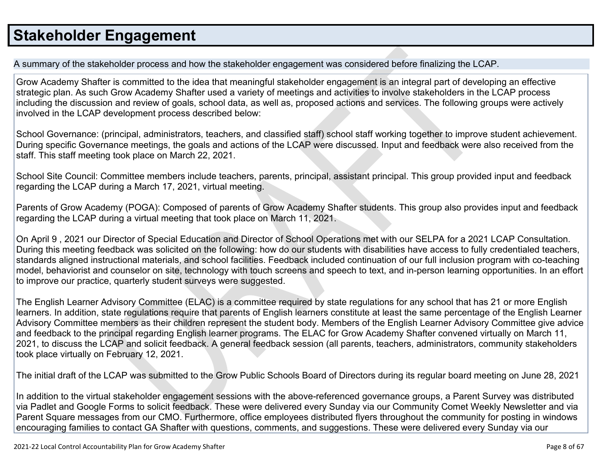## **Stakeholder [Engagement](http://www.doc-tracking.com/screenshots/21LCAP/Instructions/21LCAPInstructions.htm#StakeholderEngagement)**

A summary of the stakeholder process and how the stakeholder engagement was considered before finalizing the LCAP.

Grow Academy Shafter is committed to the idea that meaningful stakeholder engagement is an integral part of developing an effective strategic plan. As such Grow Academy Shafter used a variety of meetings and activities to involve stakeholders in the LCAP process including the discussion and review of goals, school data, as well as, proposed actions and services. The following groups were actively involved in the LCAP development process described below:

School Governance: (principal, administrators, teachers, and classified staff) school staff working together to improve student achievement. During specific Governance meetings, the goals and actions of the LCAP were discussed. Input and feedback were also received from the staff. This staff meeting took place on March 22, 2021.

School Site Council: Committee members include teachers, parents, principal, assistant principal. This group provided input and feedback regarding the LCAP during a March 17, 2021, virtual meeting.

Parents of Grow Academy (POGA): Composed of parents of Grow Academy Shafter students. This group also provides input and feedback regarding the LCAP during a virtual meeting that took place on March 11, 2021.

On April 9 , 2021 our Director of Special Education and Director of School Operations met with our SELPA for a 2021 LCAP Consultation. During this meeting feedback was solicited on the following: how do our students with disabilities have access to fully credentialed teachers, standards aligned instructional materials, and school facilities. Feedback included continuation of our full inclusion program with co-teaching model, behaviorist and counselor on site, technology with touch screens and speech to text, and in-person learning opportunities. In an effort to improve our practice, quarterly student surveys were suggested.

The English Learner Advisory Committee (ELAC) is a committee required by state regulations for any school that has 21 or more English learners. In addition, state regulations require that parents of English learners constitute at least the same percentage of the English Learner Advisory Committee members as their children represent the student body. Members of the English Learner Advisory Committee give advice and feedback to the principal regarding English learner programs. The ELAC for Grow Academy Shafter convened virtually on March 11, 2021, to discuss the LCAP and solicit feedback. A general feedback session (all parents, teachers, administrators, community stakeholders took place virtually on February 12, 2021.

The initial draft of the LCAP was submitted to the Grow Public Schools Board of Directors during its regular board meeting on June 28, 2021

In addition to the virtual stakeholder engagement sessions with the above-referenced governance groups, a Parent Survey was distributed via Padlet and Google Forms to solicit feedback. These were delivered every Sunday via our Community Comet Weekly Newsletter and via Parent Square messages from our CMO. Furthermore, office employees distributed flyers throughout the community for posting in windows encouraging families to contact GA Shafter with questions, comments, and suggestions. These were delivered every Sunday via our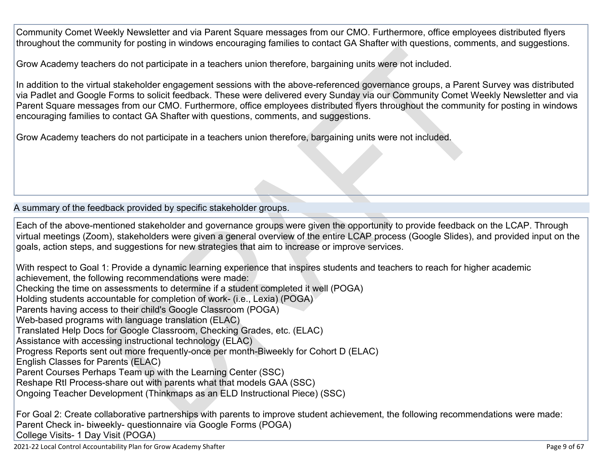Community Comet Weekly Newsletter and via Parent Square messages from our CMO. Furthermore, office employees distributed flyers throughout the community for posting in windows encouraging families to contact GA Shafter with questions, comments, and suggestions.

Grow Academy teachers do not participate in a teachers union therefore, bargaining units were not included.

In addition to the virtual stakeholder engagement sessions with the above-referenced governance groups, a Parent Survey was distributed via Padlet and Google Forms to solicit feedback. These were delivered every Sunday via our Community Comet Weekly Newsletter and via Parent Square messages from our CMO. Furthermore, office employees distributed flyers throughout the community for posting in windows encouraging families to contact GA Shafter with questions, comments, and suggestions.

Grow Academy teachers do not participate in a teachers union therefore, bargaining units were not included.

A summary of the feedback provided by specific stakeholder groups.

Each of the above-mentioned stakeholder and governance groups were given the opportunity to provide feedback on the LCAP. Through virtual meetings (Zoom), stakeholders were given a general overview of the entire LCAP process (Google Slides), and provided input on the goals, action steps, and suggestions for new strategies that aim to increase or improve services.

With respect to Goal 1: Provide a dynamic learning experience that inspires students and teachers to reach for higher academic achievement, the following recommendations were made:

Checking the time on assessments to determine if a student completed it well (POGA)

Holding students accountable for completion of work- (i.e., Lexia) (POGA)

Parents having access to their child's Google Classroom (POGA)

Web-based programs with language translation (ELAC)

Translated Help Docs for Google Classroom, Checking Grades, etc. (ELAC)

Assistance with accessing instructional technology (ELAC)

Progress Reports sent out more frequently-once per month-Biweekly for Cohort D (ELAC)

English Classes for Parents (ELAC)

Parent Courses Perhaps Team up with the Learning Center (SSC)

Reshape RtI Process-share out with parents what that models GAA (SSC)

Ongoing Teacher Development (Thinkmaps as an ELD Instructional Piece) (SSC)

For Goal 2: Create collaborative partnerships with parents to improve student achievement, the following recommendations were made: Parent Check in- biweekly- questionnaire via Google Forms (POGA) College Visits- 1 Day Visit (POGA)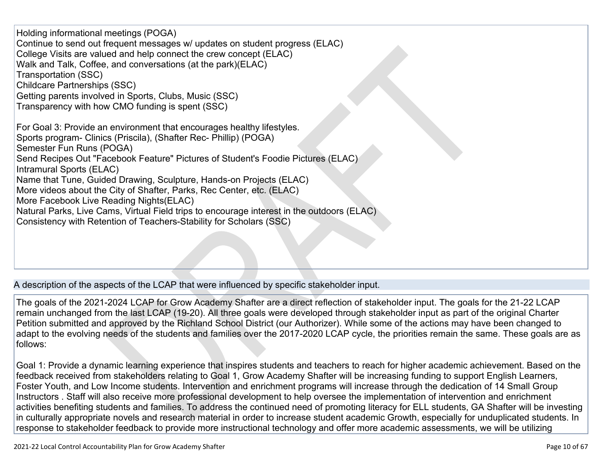Holding informational meetings (POGA) Continue to send out frequent messages w/ updates on student progress (ELAC) College Visits are valued and help connect the crew concept (ELAC) Walk and Talk, Coffee, and conversations (at the park)(ELAC) Transportation (SSC) Childcare Partnerships (SSC) Getting parents involved in Sports, Clubs, Music (SSC) Transparency with how CMO funding is spent (SSC) For Goal 3: Provide an environment that encourages healthy lifestyles. Sports program- Clinics (Priscila), (Shafter Rec- Phillip) (POGA) Semester Fun Runs (POGA) Send Recipes Out "Facebook Feature" Pictures of Student's Foodie Pictures (ELAC) Intramural Sports (ELAC) Name that Tune, Guided Drawing, Sculpture, Hands-on Projects (ELAC) More videos about the City of Shafter, Parks, Rec Center, etc. (ELAC) More Facebook Live Reading Nights(ELAC) Natural Parks, Live Cams, Virtual Field trips to encourage interest in the outdoors (ELAC) Consistency with Retention of Teachers-Stability for Scholars (SSC)

A description of the aspects of the LCAP that were influenced by specific stakeholder input.

The goals of the 2021-2024 LCAP for Grow Academy Shafter are a direct reflection of stakeholder input. The goals for the 21-22 LCAP remain unchanged from the last LCAP (19-20). All three goals were developed through stakeholder input as part of the original Charter Petition submitted and approved by the Richland School District (our Authorizer). While some of the actions may have been changed to adapt to the evolving needs of the students and families over the 2017-2020 LCAP cycle, the priorities remain the same. These goals are as follows:

Goal 1: Provide a dynamic learning experience that inspires students and teachers to reach for higher academic achievement. Based on the feedback received from stakeholders relating to Goal 1, Grow Academy Shafter will be increasing funding to support English Learners, Foster Youth, and Low Income students. Intervention and enrichment programs will increase through the dedication of 14 Small Group Instructors . Staff will also receive more professional development to help oversee the implementation of intervention and enrichment activities benefiting students and families. To address the continued need of promoting literacy for ELL students, GA Shafter will be investing in culturally appropriate novels and research material in order to increase student academic Growth, especially for unduplicated students. In response to stakeholder feedback to provide more instructional technology and offer more academic assessments, we will be utilizing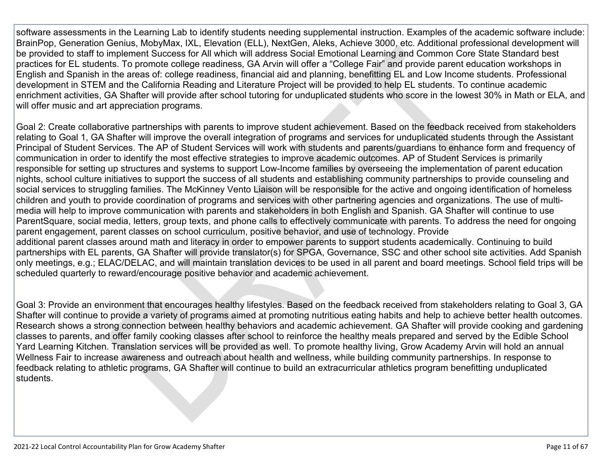software assessments in the Learning Lab to identify students needing supplemental instruction. Examples of the academic software include: BrainPop, Generation Genius, MobyMax, IXL, Elevation (ELL), NextGen, Aleks, Achieve 3000, etc. Additional professional development will be provided to staff to implement Success for All which will address Social Emotional Learning and Common Core State Standard best practices for EL students. To promote college readiness, GA Arvin will offer a "College Fair" and provide parent education workshops in English and Spanish in the areas of: college readiness, financial aid and planning, benefitting EL and Low Income students. Professional development in STEM and the California Reading and Literature Project will be provided to help EL students. To continue academic enrichment activities, GA Shafter will provide after school tutoring for unduplicated students who score in the lowest 30% in Math or ELA, and will offer music and art appreciation programs.

Goal 2: Create collaborative partnerships with parents to improve student achievement. Based on the feedback received from stakeholders relating to Goal 1, GA Shafter will improve the overall integration of programs and services for unduplicated students through the Assistant Principal of Student Services. The AP of Student Services will work with students and parents/guardians to enhance form and frequency of communication in order to identify the most effective strategies to improve academic outcomes. AP of Student Services is primarily responsible for setting up structures and systems to support Low-Income families by overseeing the implementation of parent education nights, school culture initiatives to support the success of all students and establishing community partnerships to provide counseling and social services to struggling families. The McKinney Vento Liaison will be responsible for the active and ongoing identification of homeless children and youth to provide coordination of programs and services with other partnering agencies and organizations. The use of multimedia will help to improve communication with parents and stakeholders in both English and Spanish. GA Shafter will continue to use ParentSquare, social media, letters, group texts, and phone calls to effectively communicate with parents. To address the need for ongoing parent engagement, parent classes on school curriculum, positive behavior, and use of technology. Provide additional parent classes around math and literacy in order to empower parents to support students academically. Continuing to build partnerships with EL parents, GA Shafter will provide translator(s) for SPGA, Governance, SSC and other school site activities. Add Spanish only meetings, e.g.; ELAC/DELAC, and will maintain translation devices to be used in all parent and board meetings. School field trips will be scheduled quarterly to reward/encourage positive behavior and academic achievement.

Goal 3: Provide an environment that encourages healthy lifestyles. Based on the feedback received from stakeholders relating to Goal 3, GA Shafter will continue to provide a variety of programs aimed at promoting nutritious eating habits and help to achieve better health outcomes. Research shows a strong connection between healthy behaviors and academic achievement. GA Shafter will provide cooking and gardening classes to parents, and offer family cooking classes after school to reinforce the healthy meals prepared and served by the Edible School Yard Learning Kitchen. Translation services will be provided as well. To promote healthy living, Grow Academy Arvin will hold an annual Wellness Fair to increase awareness and outreach about health and wellness, while building community partnerships. In response to feedback relating to athletic programs, GA Shafter will continue to build an extracurricular athletics program benefitting unduplicated students.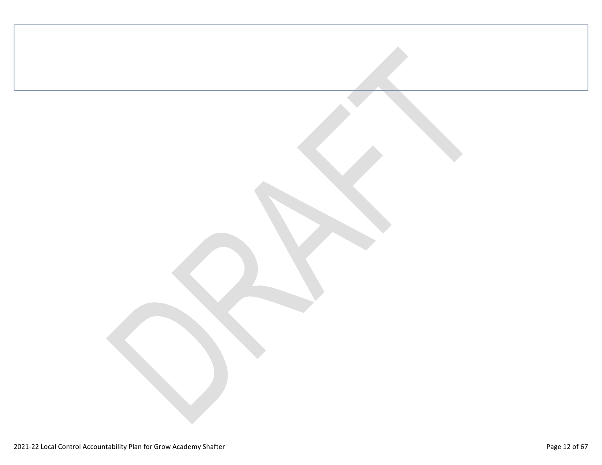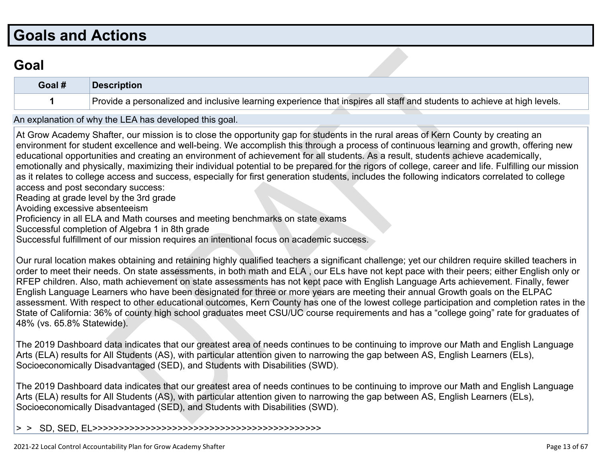# **Goals and [Actions](http://www.doc-tracking.com/screenshots/21LCAP/Instructions/21LCAPInstructions.htm#GoalsandActions)**

## **[Goal](http://www.doc-tracking.com/screenshots/21LCAP/Instructions/21LCAPInstructions.htm#goalDescription)**

| Goal # | <b>Description</b>                                                                                                       |
|--------|--------------------------------------------------------------------------------------------------------------------------|
|        | Provide a personalized and inclusive learning experience that inspires all staff and students to achieve at high levels. |

An [explanation](http://www.doc-tracking.com/screenshots/21LCAP/Instructions/21LCAPInstructions.htm#ExplanationofWhytheLEADevelopedGoals) of why the LEA has developed this goal.

At Grow Academy Shafter, our mission is to close the opportunity gap for students in the rural areas of Kern County by creating an environment for student excellence and well-being. We accomplish this through a process of continuous learning and growth, offering new educational opportunities and creating an environment of achievement for all students. As a result, students achieve academically, emotionally and physically, maximizing their individual potential to be prepared for the rigors of college, career and life. Fulfilling our mission as it relates to college access and success, especially for first generation students, includes the following indicators correlated to college access and post secondary success:

Reading at grade level by the 3rd grade

Avoiding excessive absenteeism

- Proficiency in all ELA and Math courses and meeting benchmarks on state exams
- Successful completion of Algebra 1 in 8th grade

Successful fulfillment of our mission requires an intentional focus on academic success.

Our rural location makes obtaining and retaining highly qualified teachers a significant challenge; yet our children require skilled teachers in order to meet their needs. On state assessments, in both math and ELA , our ELs have not kept pace with their peers; either English only or RFEP children. Also, math achievement on state assessments has not kept pace with English Language Arts achievement. Finally, fewer English Language Learners who have been designated for three or more years are meeting their annual Growth goals on the ELPAC assessment. With respect to other educational outcomes, Kern County has one of the lowest college participation and completion rates in the State of California: 36% of county high school graduates meet CSU/UC course requirements and has a "college going" rate for graduates of 48% (vs. 65.8% Statewide).

The 2019 Dashboard data indicates that our greatest area of needs continues to be continuing to improve our Math and English Language Arts (ELA) results for All Students (AS), with particular attention given to narrowing the gap between AS, English Learners (ELs), Socioeconomically Disadvantaged (SED), and Students with Disabilities (SWD).

The 2019 Dashboard data indicates that our greatest area of needs continues to be continuing to improve our Math and English Language Arts (ELA) results for All Students (AS), with particular attention given to narrowing the gap between AS, English Learners (ELs), Socioeconomically Disadvantaged (SED), and Students with Disabilities (SWD).

> > SD, SED, EL>>>>>>>>>>>>>>>>>>>>>>>>>>>>>>>>>>>>>>>>>>>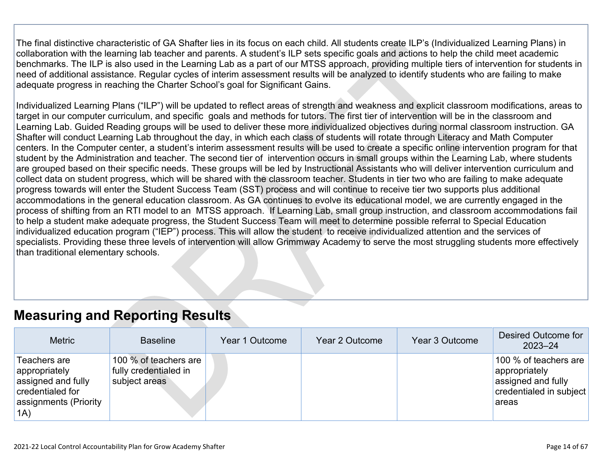The final distinctive characteristic of GA Shafter lies in its focus on each child. All students create ILP's (Individualized Learning Plans) in collaboration with the learning lab teacher and parents. A student's ILP sets specific goals and actions to help the child meet academic benchmarks. The ILP is also used in the Learning Lab as a part of our MTSS approach, providing multiple tiers of intervention for students in need of additional assistance. Regular cycles of interim assessment results will be analyzed to identify students who are failing to make adequate progress in reaching the Charter School's goal for Significant Gains.

Individualized Learning Plans ("ILP") will be updated to reflect areas of strength and weakness and explicit classroom modifications, areas to target in our computer curriculum, and specific goals and methods for tutors. The first tier of intervention will be in the classroom and Learning Lab. Guided Reading groups will be used to deliver these more individualized objectives during normal classroom instruction. GA Shafter will conduct Learning Lab throughout the day, in which each class of students will rotate through Literacy and Math Computer centers. In the Computer center, a student's interim assessment results will be used to create a specific online intervention program for that student by the Administration and teacher. The second tier of intervention occurs in small groups within the Learning Lab, where students are grouped based on their specific needs. These groups will be led by Instructional Assistants who will deliver intervention curriculum and collect data on student progress, which will be shared with the classroom teacher. Students in tier two who are failing to make adequate progress towards will enter the Student Success Team (SST) process and will continue to receive tier two supports plus additional accommodations in the general education classroom. As GA continues to evolve its educational model, we are currently engaged in the process of shifting from an RTI model to an MTSS approach. If Learning Lab, small group instruction, and classroom accommodations fail to help a student make adequate progress, the Student Success Team will meet to determine possible referral to Special Education individualized education program ("IEP") process. This will allow the student to receive individualized attention and the services of specialists. Providing these three levels of intervention will allow Grimmway Academy to serve the most struggling students more effectively than traditional elementary schools.

### **[Measuring](http://www.doc-tracking.com/screenshots/21LCAP/Instructions/21LCAPInstructions.htm#MeasuringandReportingResults) and Reporting Results**

| <b>Metric</b>                                                                                                  | <b>Baseline</b>                                                 | Year 1 Outcome | Year 2 Outcome | Year 3 Outcome | Desired Outcome for<br>$2023 - 24$                                                               |
|----------------------------------------------------------------------------------------------------------------|-----------------------------------------------------------------|----------------|----------------|----------------|--------------------------------------------------------------------------------------------------|
| Teachers are<br>appropriately<br>assigned and fully<br><b>credentialed for</b><br>assignments (Priority<br>(A) | 100 % of teachers are<br>fully credentialed in<br>subject areas |                |                |                | 100 % of teachers are<br>appropriately<br>assigned and fully<br>credentialed in subject<br>areas |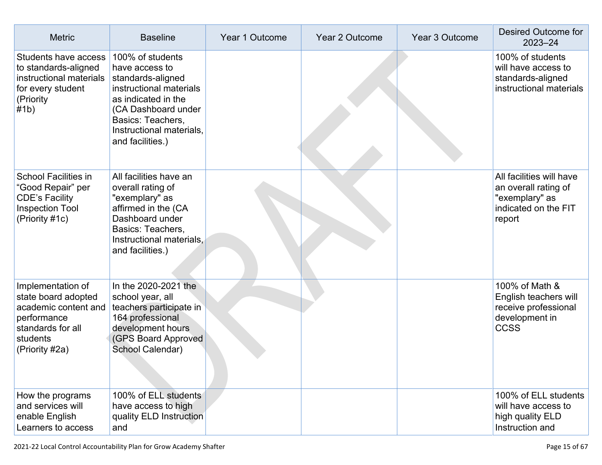| <b>Metric</b>                                                                                                                      | <b>Baseline</b>                                                                                                                                                                                       | Year 1 Outcome | Year 2 Outcome | Year 3 Outcome | <b>Desired Outcome for</b><br>$2023 - 24$                                                            |
|------------------------------------------------------------------------------------------------------------------------------------|-------------------------------------------------------------------------------------------------------------------------------------------------------------------------------------------------------|----------------|----------------|----------------|------------------------------------------------------------------------------------------------------|
| Students have access<br>to standards-aligned<br>instructional materials<br>for every student<br>(Priority<br>#1b)                  | 100% of students<br>have access to<br>standards-aligned<br>instructional materials<br>as indicated in the<br>(CA Dashboard under<br>Basics: Teachers,<br>Instructional materials,<br>and facilities.) |                |                |                | 100% of students<br>will have access to<br>standards-aligned<br>instructional materials              |
| <b>School Facilities in</b><br>"Good Repair" per<br><b>CDE's Facility</b><br><b>Inspection Tool</b><br>(Priority #1c)              | All facilities have an<br>overall rating of<br>"exemplary" as<br>affirmed in the (CA<br>Dashboard under<br>Basics: Teachers,<br>Instructional materials,<br>and facilities.)                          |                |                |                | All facilities will have<br>an overall rating of<br>"exemplary" as<br>indicated on the FIT<br>report |
| Implementation of<br>state board adopted<br>academic content and<br>performance<br>standards for all<br>students<br>(Priority #2a) | In the 2020-2021 the<br>school year, all<br>teachers participate in<br>164 professional<br>development hours<br>(GPS Board Approved<br>School Calendar)                                               |                |                |                | 100% of Math &<br>English teachers will<br>receive professional<br>development in<br><b>CCSS</b>     |
| How the programs<br>and services will<br>enable English<br>Learners to access                                                      | 100% of ELL students<br>have access to high<br>quality ELD Instruction<br>and                                                                                                                         |                |                |                | 100% of ELL students<br>will have access to<br>high quality ELD<br>Instruction and                   |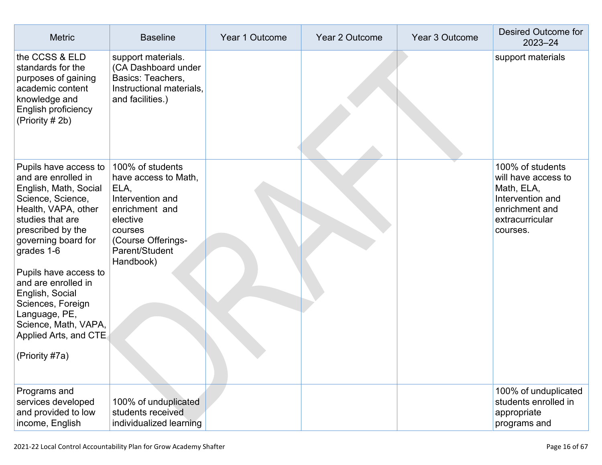| <b>Metric</b>                                                                                                                                                                                                                                                                                                                                                               | <b>Baseline</b>                                                                                                                                                    | Year 1 Outcome | Year 2 Outcome | Year 3 Outcome | Desired Outcome for<br>$2023 - 24$                                                                                         |
|-----------------------------------------------------------------------------------------------------------------------------------------------------------------------------------------------------------------------------------------------------------------------------------------------------------------------------------------------------------------------------|--------------------------------------------------------------------------------------------------------------------------------------------------------------------|----------------|----------------|----------------|----------------------------------------------------------------------------------------------------------------------------|
| the CCSS & ELD<br>standards for the<br>purposes of gaining<br>academic content<br>knowledge and<br>English proficiency<br>(Priority # 2b)                                                                                                                                                                                                                                   | support materials.<br>(CA Dashboard under<br>Basics: Teachers,<br>Instructional materials,<br>and facilities.)                                                     |                |                |                | support materials                                                                                                          |
| Pupils have access to<br>and are enrolled in<br>English, Math, Social<br>Science, Science,<br>Health, VAPA, other<br>studies that are<br>prescribed by the<br>governing board for<br>grades 1-6<br>Pupils have access to<br>and are enrolled in<br>English, Social<br>Sciences, Foreign<br>Language, PE,<br>Science, Math, VAPA,<br>Applied Arts, and CTE<br>(Priority #7a) | 100% of students<br>have access to Math,<br>ELA,<br>Intervention and<br>enrichment and<br>elective<br>courses<br>(Course Offerings-<br>Parent/Student<br>Handbook) |                |                |                | 100% of students<br>will have access to<br>Math, ELA,<br>Intervention and<br>enrichment and<br>extracurricular<br>courses. |
| Programs and<br>services developed<br>and provided to low<br>income, English                                                                                                                                                                                                                                                                                                | 100% of unduplicated<br>students received<br>individualized learning                                                                                               |                |                |                | 100% of unduplicated<br>students enrolled in<br>appropriate<br>programs and                                                |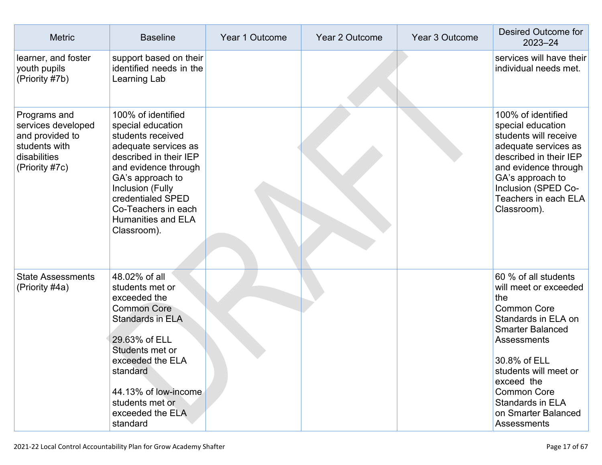| <b>Metric</b>                                                                                            | <b>Baseline</b>                                                                                                                                                                                                                                                        | Year 1 Outcome | Year 2 Outcome | Year 3 Outcome | <b>Desired Outcome for</b><br>$2023 - 24$                                                                                                                                                                                                                                                 |
|----------------------------------------------------------------------------------------------------------|------------------------------------------------------------------------------------------------------------------------------------------------------------------------------------------------------------------------------------------------------------------------|----------------|----------------|----------------|-------------------------------------------------------------------------------------------------------------------------------------------------------------------------------------------------------------------------------------------------------------------------------------------|
| learner, and foster<br>youth pupils<br>(Priority #7b)                                                    | support based on their<br>identified needs in the<br>Learning Lab                                                                                                                                                                                                      |                |                |                | services will have their<br>individual needs met.                                                                                                                                                                                                                                         |
| Programs and<br>services developed<br>and provided to<br>students with<br>disabilities<br>(Priority #7c) | 100% of identified<br>special education<br>students received<br>adequate services as<br>described in their IEP<br>and evidence through<br>GA's approach to<br>Inclusion (Fully<br>credentialed SPED<br>Co-Teachers in each<br><b>Humanities and ELA</b><br>Classroom). |                |                |                | 100% of identified<br>special education<br>students will receive<br>adequate services as<br>described in their IEP<br>and evidence through<br>GA's approach to<br>Inclusion (SPED Co-<br>Teachers in each ELA<br>Classroom).                                                              |
| <b>State Assessments</b><br>(Priority #4a)                                                               | 48.02% of all<br>students met or<br>exceeded the<br><b>Common Core</b><br><b>Standards in ELA</b><br>29.63% of ELL<br>Students met or<br>exceeded the ELA<br>standard<br>44.13% of low-income<br>students met or<br>exceeded the ELA<br>standard                       |                |                |                | 60 % of all students<br>will meet or exceeded<br>the<br><b>Common Core</b><br>Standards in ELA on<br><b>Smarter Balanced</b><br>Assessments<br>30.8% of ELL<br>students will meet or<br>exceed the<br><b>Common Core</b><br><b>Standards in ELA</b><br>on Smarter Balanced<br>Assessments |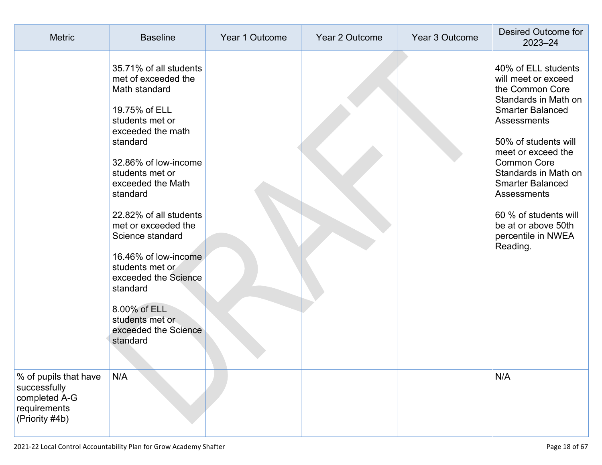| <b>Metric</b>                                                                            | <b>Baseline</b>                                                                                                                                                                                                                                                                                                                                                                                                                            | Year 1 Outcome | Year 2 Outcome | Year 3 Outcome | <b>Desired Outcome for</b><br>$2023 - 24$                                                                                                                                                                                                                                                                                                                      |
|------------------------------------------------------------------------------------------|--------------------------------------------------------------------------------------------------------------------------------------------------------------------------------------------------------------------------------------------------------------------------------------------------------------------------------------------------------------------------------------------------------------------------------------------|----------------|----------------|----------------|----------------------------------------------------------------------------------------------------------------------------------------------------------------------------------------------------------------------------------------------------------------------------------------------------------------------------------------------------------------|
|                                                                                          | 35.71% of all students<br>met of exceeded the<br>Math standard<br>19.75% of ELL<br>students met or<br>exceeded the math<br>standard<br>32.86% of low-income<br>students met or<br>exceeded the Math<br>standard<br>22.82% of all students<br>met or exceeded the<br>Science standard<br>16.46% of low-income<br>students met or<br>exceeded the Science<br>standard<br>8.00% of ELL<br>students met or<br>exceeded the Science<br>standard |                |                |                | 40% of ELL students<br>will meet or exceed<br>the Common Core<br>Standards in Math on<br><b>Smarter Balanced</b><br><b>Assessments</b><br>50% of students will<br>meet or exceed the<br><b>Common Core</b><br>Standards in Math on<br><b>Smarter Balanced</b><br>Assessments<br>60 % of students will<br>be at or above 50th<br>percentile in NWEA<br>Reading. |
| % of pupils that have<br>successfully<br>completed A-G<br>requirements<br>(Priority #4b) | N/A                                                                                                                                                                                                                                                                                                                                                                                                                                        |                |                |                | N/A                                                                                                                                                                                                                                                                                                                                                            |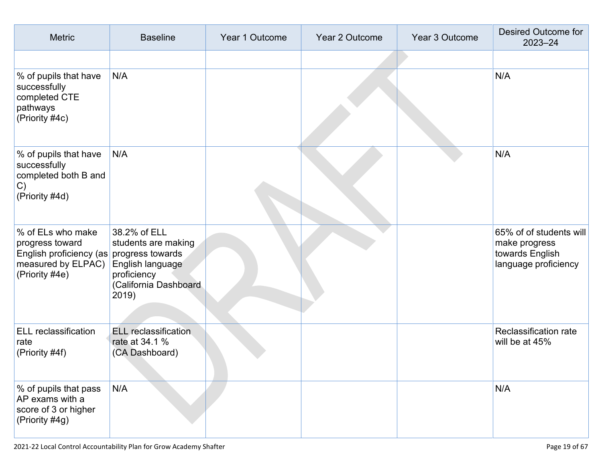| <b>Metric</b>                                                                                                            | <b>Baseline</b>                                                                                          | Year 1 Outcome | Year 2 Outcome | Year 3 Outcome | <b>Desired Outcome for</b><br>$2023 - 24$                                           |
|--------------------------------------------------------------------------------------------------------------------------|----------------------------------------------------------------------------------------------------------|----------------|----------------|----------------|-------------------------------------------------------------------------------------|
|                                                                                                                          |                                                                                                          |                |                |                |                                                                                     |
| % of pupils that have<br>successfully<br>completed CTE<br>pathways<br>(Priority #4c)                                     | N/A                                                                                                      |                |                |                | N/A                                                                                 |
| % of pupils that have<br>successfully<br>completed both B and<br>(C)<br>(Priority #4d)                                   | N/A                                                                                                      |                |                |                | N/A                                                                                 |
| % of ELs who make<br>progress toward<br>English proficiency (as progress towards<br>measured by ELPAC)<br>(Priority #4e) | 38.2% of ELL<br>students are making<br>English language<br>proficiency<br>(California Dashboard<br>2019) |                |                |                | 65% of of students will<br>make progress<br>towards English<br>language proficiency |
| <b>ELL</b> reclassification<br>rate<br>(Priority #4f)                                                                    | <b>ELL</b> reclassification<br>rate at 34.1 %<br>(CA Dashboard)                                          |                |                |                | Reclassification rate<br>will be at 45%                                             |
| % of pupils that pass<br>AP exams with a<br>score of 3 or higher<br>(Priority #4g)                                       | N/A                                                                                                      |                |                |                | N/A                                                                                 |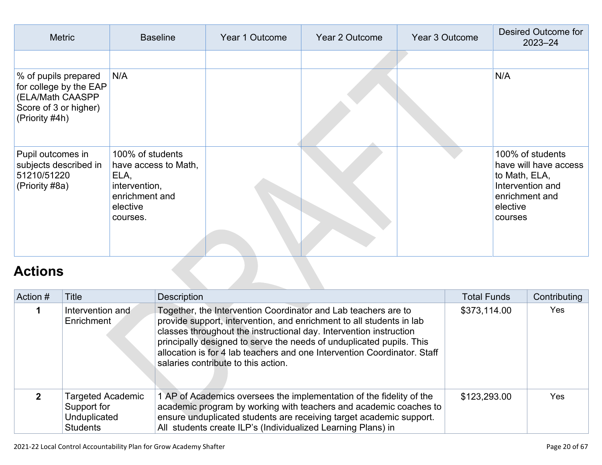| <b>Metric</b>                                                                                                 | <b>Baseline</b>                                                                                             | Year 1 Outcome | Year 2 Outcome | Year 3 Outcome | <b>Desired Outcome for</b><br>$2023 - 24$                                                                               |
|---------------------------------------------------------------------------------------------------------------|-------------------------------------------------------------------------------------------------------------|----------------|----------------|----------------|-------------------------------------------------------------------------------------------------------------------------|
|                                                                                                               |                                                                                                             |                |                |                |                                                                                                                         |
| % of pupils prepared<br>for college by the EAP<br>(ELA/Math CAASPP<br>Score of 3 or higher)<br>(Priority #4h) | N/A                                                                                                         |                |                |                | N/A                                                                                                                     |
| Pupil outcomes in<br>subjects described in<br>51210/51220<br>(Priority #8a)                                   | 100% of students<br>have access to Math,<br>ELA,<br>intervention,<br>enrichment and<br>elective<br>courses. |                |                |                | 100% of students<br>have will have access<br>to Math, ELA,<br>Intervention and<br>enrichment and<br>elective<br>courses |

# **[Actions](http://www.doc-tracking.com/screenshots/21LCAP/Instructions/21LCAPInstructions.htm#actions)**

| Action # | Title                                                                      | <b>Description</b>                                                                                                                                                                                                                                                                                                                                                                                      | <b>Total Funds</b> | Contributing |
|----------|----------------------------------------------------------------------------|---------------------------------------------------------------------------------------------------------------------------------------------------------------------------------------------------------------------------------------------------------------------------------------------------------------------------------------------------------------------------------------------------------|--------------------|--------------|
|          | Intervention and<br>Enrichment                                             | Together, the Intervention Coordinator and Lab teachers are to<br>provide support, intervention, and enrichment to all students in lab<br>classes throughout the instructional day. Intervention instruction<br>principally designed to serve the needs of unduplicated pupils. This<br>allocation is for 4 lab teachers and one Intervention Coordinator. Staff<br>salaries contribute to this action. | \$373,114.00       | Yes          |
|          | <b>Targeted Academic</b><br>Support for<br>Unduplicated<br><b>Students</b> | 1 AP of Academics oversees the implementation of the fidelity of the<br>academic program by working with teachers and academic coaches to<br>ensure unduplicated students are receiving target academic support.<br>All students create ILP's (Individualized Learning Plans) in                                                                                                                        | \$123,293,00       | Yes          |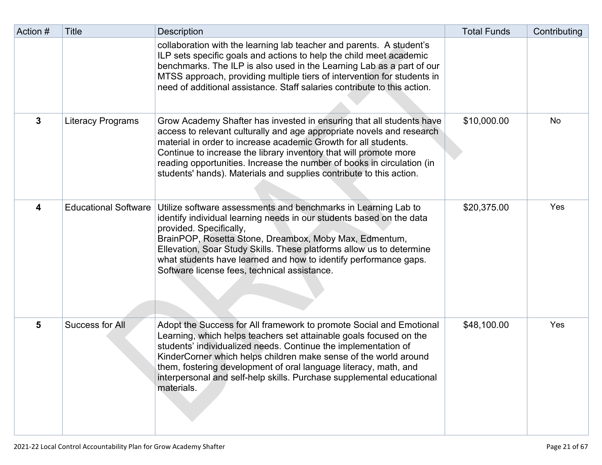| Action # | <b>Title</b>                | <b>Description</b>                                                                                                                                                                                                                                                                                                                                                                                                                         | <b>Total Funds</b> | Contributing |
|----------|-----------------------------|--------------------------------------------------------------------------------------------------------------------------------------------------------------------------------------------------------------------------------------------------------------------------------------------------------------------------------------------------------------------------------------------------------------------------------------------|--------------------|--------------|
|          |                             | collaboration with the learning lab teacher and parents. A student's<br>ILP sets specific goals and actions to help the child meet academic<br>benchmarks. The ILP is also used in the Learning Lab as a part of our<br>MTSS approach, providing multiple tiers of intervention for students in<br>need of additional assistance. Staff salaries contribute to this action.                                                                |                    |              |
| 3        | <b>Literacy Programs</b>    | Grow Academy Shafter has invested in ensuring that all students have<br>access to relevant culturally and age appropriate novels and research<br>material in order to increase academic Growth for all students.<br>Continue to increase the library inventory that will promote more<br>reading opportunities. Increase the number of books in circulation (in<br>students' hands). Materials and supplies contribute to this action.     | \$10,000.00        | No           |
| 4        | <b>Educational Software</b> | Utilize software assessments and benchmarks in Learning Lab to<br>identify individual learning needs in our students based on the data<br>provided. Specifically,<br>BrainPOP, Rosetta Stone, Dreambox, Moby Max, Edmentum,<br>Ellevation, Soar Study Skills. These platforms allow us to determine<br>what students have learned and how to identify performance gaps.<br>Software license fees, technical assistance.                    | \$20,375.00        | Yes          |
| 5        | Success for All             | Adopt the Success for All framework to promote Social and Emotional<br>Learning, which helps teachers set attainable goals focused on the<br>students' individualized needs. Continue the implementation of<br>KinderCorner which helps children make sense of the world around<br>them, fostering development of oral language literacy, math, and<br>interpersonal and self-help skills. Purchase supplemental educational<br>materials. | \$48,100.00        | Yes          |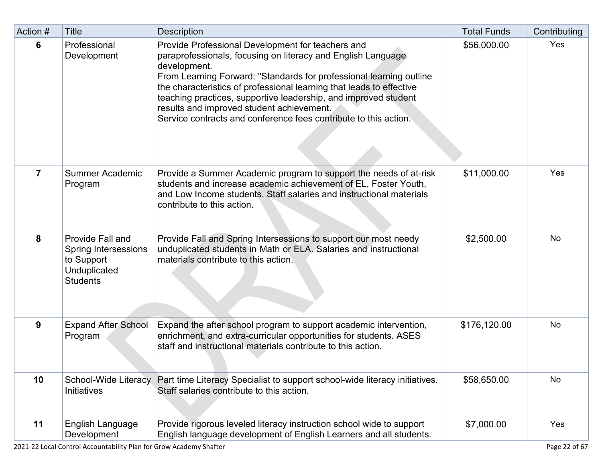| Action #       | Title                                                                                                   | <b>Description</b>                                                                                                                                                                                                                                                                                                                                                                                                                                                   | <b>Total Funds</b> | Contributing |
|----------------|---------------------------------------------------------------------------------------------------------|----------------------------------------------------------------------------------------------------------------------------------------------------------------------------------------------------------------------------------------------------------------------------------------------------------------------------------------------------------------------------------------------------------------------------------------------------------------------|--------------------|--------------|
| 6              | Professional<br>Development                                                                             | Provide Professional Development for teachers and<br>paraprofessionals, focusing on literacy and English Language<br>development.<br>From Learning Forward: "Standards for professional learning outline<br>the characteristics of professional learning that leads to effective<br>teaching practices, supportive leadership, and improved student<br>results and improved student achievement.<br>Service contracts and conference fees contribute to this action. | \$56,000.00        | Yes          |
| $\overline{7}$ | <b>Summer Academic</b><br>Program                                                                       | Provide a Summer Academic program to support the needs of at-risk<br>students and increase academic achievement of EL, Foster Youth,<br>and Low Income students. Staff salaries and instructional materials<br>contribute to this action.                                                                                                                                                                                                                            | \$11,000.00        | Yes          |
| 8              | <b>Provide Fall and</b><br><b>Spring Intersessions</b><br>to Support<br>Unduplicated<br><b>Students</b> | Provide Fall and Spring Intersessions to support our most needy<br>unduplicated students in Math or ELA. Salaries and instructional<br>materials contribute to this action.                                                                                                                                                                                                                                                                                          | \$2,500.00         | No           |
| 9              | <b>Expand After School</b><br>Program                                                                   | Expand the after school program to support academic intervention,<br>enrichment, and extra-curricular opportunities for students. ASES<br>staff and instructional materials contribute to this action.                                                                                                                                                                                                                                                               | \$176,120.00       | No           |
| 10             | School-Wide Literacy<br>Initiatives                                                                     | Part time Literacy Specialist to support school-wide literacy initiatives.<br>Staff salaries contribute to this action.                                                                                                                                                                                                                                                                                                                                              | \$58,650.00        | No           |
| 11             | English Language<br>Development                                                                         | Provide rigorous leveled literacy instruction school wide to support<br>English language development of English Learners and all students.                                                                                                                                                                                                                                                                                                                           | \$7,000.00         | Yes          |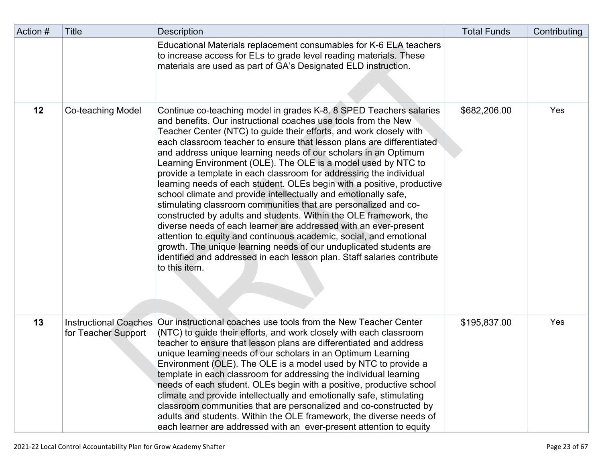| Action # | <b>Title</b>                                        | <b>Description</b>                                                                                                                                                                                                                                                                                                                                                                                                                                                                                                                                                                                                                                                                                                                                                                                                                                                                                                                                                                                                                                                                            | <b>Total Funds</b> | Contributing |
|----------|-----------------------------------------------------|-----------------------------------------------------------------------------------------------------------------------------------------------------------------------------------------------------------------------------------------------------------------------------------------------------------------------------------------------------------------------------------------------------------------------------------------------------------------------------------------------------------------------------------------------------------------------------------------------------------------------------------------------------------------------------------------------------------------------------------------------------------------------------------------------------------------------------------------------------------------------------------------------------------------------------------------------------------------------------------------------------------------------------------------------------------------------------------------------|--------------------|--------------|
|          |                                                     | Educational Materials replacement consumables for K-6 ELA teachers<br>to increase access for ELs to grade level reading materials. These<br>materials are used as part of GA's Designated ELD instruction.                                                                                                                                                                                                                                                                                                                                                                                                                                                                                                                                                                                                                                                                                                                                                                                                                                                                                    |                    |              |
| 12       | Co-teaching Model                                   | Continue co-teaching model in grades K-8.8 SPED Teachers salaries<br>and benefits. Our instructional coaches use tools from the New<br>Teacher Center (NTC) to guide their efforts, and work closely with<br>each classroom teacher to ensure that lesson plans are differentiated<br>and address unique learning needs of our scholars in an Optimum<br>Learning Environment (OLE). The OLE is a model used by NTC to<br>provide a template in each classroom for addressing the individual<br>learning needs of each student. OLEs begin with a positive, productive<br>school climate and provide intellectually and emotionally safe,<br>stimulating classroom communities that are personalized and co-<br>constructed by adults and students. Within the OLE framework, the<br>diverse needs of each learner are addressed with an ever-present<br>attention to equity and continuous academic, social, and emotional<br>growth. The unique learning needs of our unduplicated students are<br>identified and addressed in each lesson plan. Staff salaries contribute<br>to this item. | \$682,206.00       | Yes          |
| 13       | <b>Instructional Coaches</b><br>for Teacher Support | Our instructional coaches use tools from the New Teacher Center<br>(NTC) to guide their efforts, and work closely with each classroom<br>teacher to ensure that lesson plans are differentiated and address<br>unique learning needs of our scholars in an Optimum Learning<br>Environment (OLE). The OLE is a model used by NTC to provide a<br>template in each classroom for addressing the individual learning<br>needs of each student. OLEs begin with a positive, productive school<br>climate and provide intellectually and emotionally safe, stimulating<br>classroom communities that are personalized and co-constructed by<br>adults and students. Within the OLE framework, the diverse needs of<br>each learner are addressed with an ever-present attention to equity                                                                                                                                                                                                                                                                                                         | \$195,837.00       | Yes          |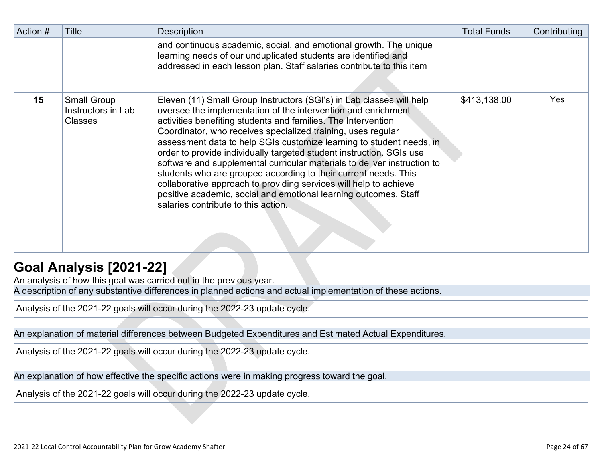| Action # | Title                                                      | <b>Description</b>                                                                                                                                                                                                                                                                                                                                                                                                                                                                                                                                                                                                                                                                                                                                    | <b>Total Funds</b> | Contributing |
|----------|------------------------------------------------------------|-------------------------------------------------------------------------------------------------------------------------------------------------------------------------------------------------------------------------------------------------------------------------------------------------------------------------------------------------------------------------------------------------------------------------------------------------------------------------------------------------------------------------------------------------------------------------------------------------------------------------------------------------------------------------------------------------------------------------------------------------------|--------------------|--------------|
|          |                                                            | and continuous academic, social, and emotional growth. The unique<br>learning needs of our unduplicated students are identified and<br>addressed in each lesson plan. Staff salaries contribute to this item                                                                                                                                                                                                                                                                                                                                                                                                                                                                                                                                          |                    |              |
| 15       | <b>Small Group</b><br>Instructors in Lab<br><b>Classes</b> | Eleven (11) Small Group Instructors (SGI's) in Lab classes will help<br>oversee the implementation of the intervention and enrichment<br>activities benefiting students and families. The Intervention<br>Coordinator, who receives specialized training, uses regular<br>assessment data to help SGIs customize learning to student needs, in<br>order to provide individually targeted student instruction. SGIs use<br>software and supplemental curricular materials to deliver instruction to<br>students who are grouped according to their current needs. This<br>collaborative approach to providing services will help to achieve<br>positive academic, social and emotional learning outcomes. Staff<br>salaries contribute to this action. | \$413,138.00       | Yes          |

## **Goal Analysis [\[2021-22\]](http://www.doc-tracking.com/screenshots/21LCAP/Instructions/21LCAPInstructions.htm#GoalAnalysis)**

An analysis of how this goal was carried out in the previous year. A description of any substantive differences in planned actions and actual implementation of these actions.

Analysis of the 2021-22 goals will occur during the 2022-23 update cycle.

An explanation of material differences between Budgeted Expenditures and Estimated Actual Expenditures.

Analysis of the 2021-22 goals will occur during the 2022-23 update cycle.

An explanation of how effective the specific actions were in making progress toward the goal.

Analysis of the 2021-22 goals will occur during the 2022-23 update cycle.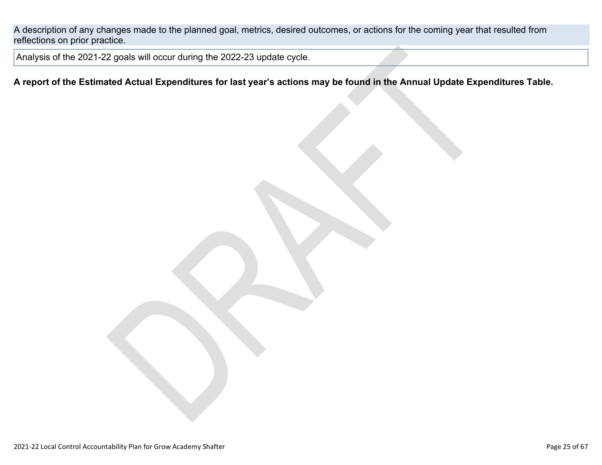A description of any changes made to the planned goal, metrics, desired outcomes, or actions for the coming year that resulted from reflections on prior practice.

Analysis of the 2021-22 goals will occur during the 2022-23 update cycle.

A report of the Estimated Actual Expenditures for last year's actions may be found in the Annual Update Expenditures Table.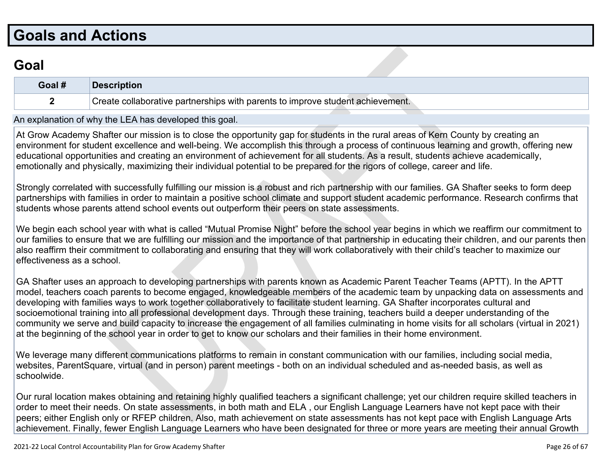# **Goals and [Actions](http://www.doc-tracking.com/screenshots/21LCAP/Instructions/21LCAPInstructions.htm#GoalsandActions)**

## **[Goal](http://www.doc-tracking.com/screenshots/21LCAP/Instructions/21LCAPInstructions.htm#goalDescription)**

| Goal # | <b>Description</b>                                                             |
|--------|--------------------------------------------------------------------------------|
|        | Create collaborative partnerships with parents to improve student achievement. |

An [explanation](http://www.doc-tracking.com/screenshots/21LCAP/Instructions/21LCAPInstructions.htm#ExplanationofWhytheLEADevelopedGoals) of why the LEA has developed this goal.

At Grow Academy Shafter our mission is to close the opportunity gap for students in the rural areas of Kern County by creating an environment for student excellence and well-being. We accomplish this through a process of continuous learning and growth, offering new educational opportunities and creating an environment of achievement for all students. As a result, students achieve academically, emotionally and physically, maximizing their individual potential to be prepared for the rigors of college, career and life.

Strongly correlated with successfully fulfilling our mission is a robust and rich partnership with our families. GA Shafter seeks to form deep partnerships with families in order to maintain a positive school climate and support student academic performance. Research confirms that students whose parents attend school events out outperform their peers on state assessments.

We begin each school year with what is called "Mutual Promise Night" before the school year begins in which we reaffirm our commitment to our families to ensure that we are fulfilling our mission and the importance of that partnership in educating their children, and our parents then also reaffirm their commitment to collaborating and ensuring that they will work collaboratively with their child's teacher to maximize our effectiveness as a school.

GA Shafter uses an approach to developing partnerships with parents known as Academic Parent Teacher Teams (APTT). In the APTT model, teachers coach parents to become engaged, knowledgeable members of the academic team by unpacking data on assessments and developing with families ways to work together collaboratively to facilitate student learning. GA Shafter incorporates cultural and socioemotional training into all professional development days. Through these training, teachers build a deeper understanding of the community we serve and build capacity to increase the engagement of all families culminating in home visits for all scholars (virtual in 2021) at the beginning of the school year in order to get to know our scholars and their families in their home environment.

We leverage many different communications platforms to remain in constant communication with our families, including social media, websites, ParentSquare, virtual (and in person) parent meetings - both on an individual scheduled and as-needed basis, as well as schoolwide.

Our rural location makes obtaining and retaining highly qualified teachers a significant challenge; yet our children require skilled teachers in order to meet their needs. On state assessments, in both math and ELA , our English Language Learners have not kept pace with their peers; either English only or RFEP children. Also, math achievement on state assessments has not kept pace with English Language Arts achievement. Finally, fewer English Language Learners who have been designated for three or more years are meeting their annual Growth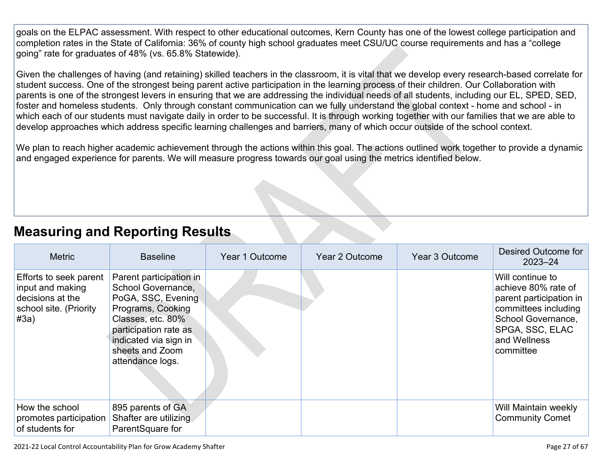goals on the ELPAC assessment. With respect to other educational outcomes, Kern County has one of the lowest college participation and completion rates in the State of California: 36% of county high school graduates meet CSU/UC course requirements and has a "college going" rate for graduates of 48% (vs. 65.8% Statewide).

Given the challenges of having (and retaining) skilled teachers in the classroom, it is vital that we develop every research-based correlate for student success. One of the strongest being parent active participation in the learning process of their children. Our Collaboration with parents is one of the strongest levers in ensuring that we are addressing the individual needs of all students, including our EL, SPED, SED, foster and homeless students. Only through constant communication can we fully understand the global context - home and school - in which each of our students must navigate daily in order to be successful. It is through working together with our families that we are able to develop approaches which address specific learning challenges and barriers, many of which occur outside of the school context.

We plan to reach higher academic achievement through the actions within this goal. The actions outlined work together to provide a dynamic and engaged experience for parents. We will measure progress towards our goal using the metrics identified below.

### **[Measuring](http://www.doc-tracking.com/screenshots/21LCAP/Instructions/21LCAPInstructions.htm#MeasuringandReportingResults) and Reporting Results**

| <b>Metric</b>                                                                                    | <b>Baseline</b>                                                                                                                                                                                        | Year 1 Outcome | <b>Year 2 Outcome</b> | <b>Year 3 Outcome</b> | Desired Outcome for<br>$2023 - 24$                                                                                                                               |
|--------------------------------------------------------------------------------------------------|--------------------------------------------------------------------------------------------------------------------------------------------------------------------------------------------------------|----------------|-----------------------|-----------------------|------------------------------------------------------------------------------------------------------------------------------------------------------------------|
| Efforts to seek parent<br>input and making<br>decisions at the<br>school site. (Priority<br>#3a) | Parent participation in<br>School Governance,<br>PoGA, SSC, Evening<br>Programs, Cooking<br>Classes, etc. 80%<br>participation rate as<br>indicated via sign in<br>sheets and Zoom<br>attendance logs. |                |                       |                       | Will continue to<br>achieve 80% rate of<br>parent participation in<br>committees including<br>School Governance,<br>SPGA, SSC, ELAC<br>and Wellness<br>committee |
| How the school<br>promotes participation<br>of students for                                      | 895 parents of GA<br>Shafter are utilizing<br>ParentSquare for                                                                                                                                         |                |                       |                       | Will Maintain weekly<br><b>Community Comet</b>                                                                                                                   |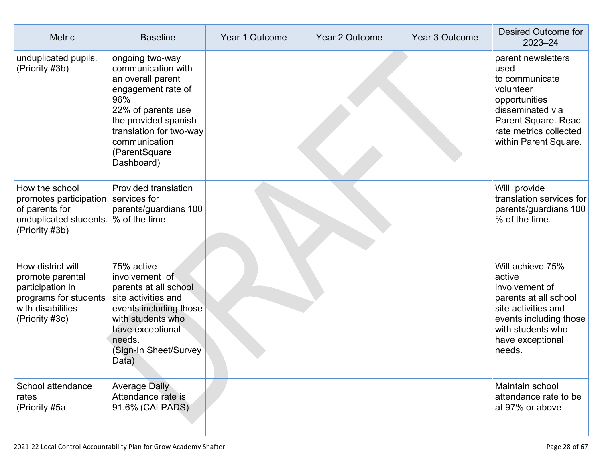| <b>Metric</b>                                                                                                             | <b>Baseline</b>                                                                                                                                                                                                  | Year 1 Outcome | <b>Year 2 Outcome</b> | Year 3 Outcome | <b>Desired Outcome for</b><br>$2023 - 24$                                                                                                                                 |
|---------------------------------------------------------------------------------------------------------------------------|------------------------------------------------------------------------------------------------------------------------------------------------------------------------------------------------------------------|----------------|-----------------------|----------------|---------------------------------------------------------------------------------------------------------------------------------------------------------------------------|
| unduplicated pupils.<br>(Priority #3b)                                                                                    | ongoing two-way<br>communication with<br>an overall parent<br>engagement rate of<br>96%<br>22% of parents use<br>the provided spanish<br>translation for two-way<br>communication<br>(ParentSquare<br>Dashboard) |                |                       |                | parent newsletters<br>used<br>to communicate<br>volunteer<br>opportunities<br>disseminated via<br>Parent Square. Read<br>rate metrics collected<br>within Parent Square.  |
| How the school<br>promotes participation<br>of parents for<br>unduplicated students. $\%$ of the time<br>(Priority #3b)   | <b>Provided translation</b><br>services for<br>parents/guardians 100                                                                                                                                             |                |                       |                | Will provide<br>translation services for<br>parents/guardians 100<br>% of the time.                                                                                       |
| How district will<br>promote parental<br>participation in<br>programs for students<br>with disabilities<br>(Priority #3c) | 75% active<br>involvement of<br>parents at all school<br>site activities and<br>events including those<br>with students who<br>have exceptional<br>needs.<br>(Sign-In Sheet/Survey)<br>Data)                     |                |                       |                | Will achieve 75%<br>active<br>involvement of<br>parents at all school<br>site activities and<br>events including those<br>with students who<br>have exceptional<br>needs. |
| School attendance<br>rates<br>(Priority #5a                                                                               | <b>Average Daily</b><br>Attendance rate is<br>91.6% (CALPADS)                                                                                                                                                    |                |                       |                | Maintain school<br>attendance rate to be<br>at 97% or above                                                                                                               |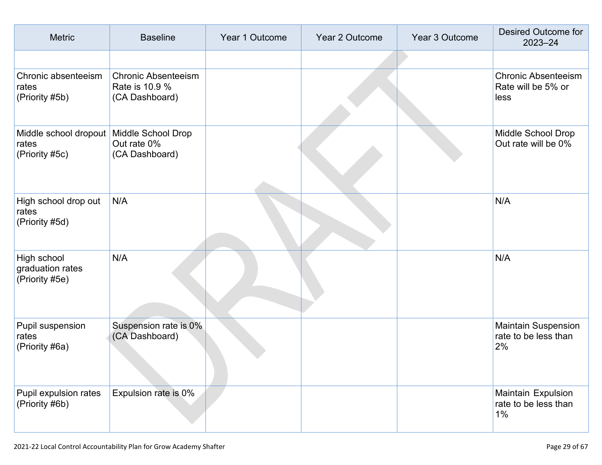| <b>Metric</b>                                     | <b>Baseline</b>                                                | Year 1 Outcome | Year 2 Outcome | Year 3 Outcome | <b>Desired Outcome for</b><br>$2023 - 24$                |
|---------------------------------------------------|----------------------------------------------------------------|----------------|----------------|----------------|----------------------------------------------------------|
|                                                   |                                                                |                |                |                |                                                          |
| Chronic absenteeism<br>rates<br>(Priority #5b)    | <b>Chronic Absenteeism</b><br>Rate is 10.9 %<br>(CA Dashboard) |                |                |                | <b>Chronic Absenteeism</b><br>Rate will be 5% or<br>less |
| Middle school dropout<br>rates<br>(Priority #5c)  | Middle School Drop<br>Out rate 0%<br>(CA Dashboard)            |                |                |                | Middle School Drop<br>Out rate will be 0%                |
| High school drop out<br>rates<br>(Priority #5d)   | N/A                                                            |                |                |                | N/A                                                      |
| High school<br>graduation rates<br>(Priority #5e) | N/A                                                            |                |                |                | N/A                                                      |
| Pupil suspension<br>rates<br>(Priority #6a)       | Suspension rate is 0%<br>(CA Dashboard)                        |                |                |                | <b>Maintain Suspension</b><br>rate to be less than<br>2% |
| Pupil expulsion rates<br>(Priority #6b)           | Expulsion rate is 0%                                           |                |                |                | Maintain Expulsion<br>rate to be less than<br>$1\%$      |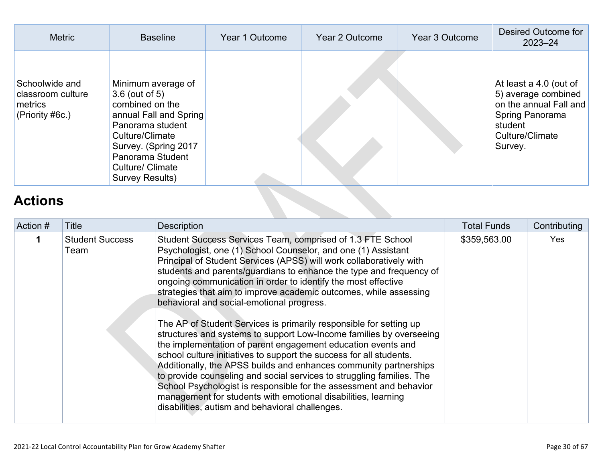| <b>Metric</b>                                                     | <b>Baseline</b>                                                                                                                                                                                                    | Year 1 Outcome | Year 2 Outcome | Year 3 Outcome | <b>Desired Outcome for</b><br>$2023 - 24$                                                                                           |
|-------------------------------------------------------------------|--------------------------------------------------------------------------------------------------------------------------------------------------------------------------------------------------------------------|----------------|----------------|----------------|-------------------------------------------------------------------------------------------------------------------------------------|
|                                                                   |                                                                                                                                                                                                                    |                |                |                |                                                                                                                                     |
| Schoolwide and<br>classroom culture<br>metrics<br>(Priority #6c.) | Minimum average of<br>3.6 (out of 5)<br>combined on the<br>annual Fall and Spring<br>Panorama student<br>Culture/Climate<br>Survey. (Spring 2017<br>Panorama Student<br>Culture/ Climate<br><b>Survey Results)</b> |                |                |                | At least a 4.0 (out of<br>5) average combined<br>on the annual Fall and<br>Spring Panorama<br>student<br>Culture/Climate<br>Survey. |
| <b>Actions</b>                                                    |                                                                                                                                                                                                                    |                |                |                |                                                                                                                                     |

## **[Actions](http://www.doc-tracking.com/screenshots/21LCAP/Instructions/21LCAPInstructions.htm#actions)**

| Action # | Title                          | <b>Description</b>                                                                                                                                                                                                                                                                                                                                                                                                                                                                                                                                                                                                                                                                                                                                                                                                                                                                                                                                                                                                                                                                       | <b>Total Funds</b> | Contributing |
|----------|--------------------------------|------------------------------------------------------------------------------------------------------------------------------------------------------------------------------------------------------------------------------------------------------------------------------------------------------------------------------------------------------------------------------------------------------------------------------------------------------------------------------------------------------------------------------------------------------------------------------------------------------------------------------------------------------------------------------------------------------------------------------------------------------------------------------------------------------------------------------------------------------------------------------------------------------------------------------------------------------------------------------------------------------------------------------------------------------------------------------------------|--------------------|--------------|
|          | <b>Student Success</b><br>Team | Student Success Services Team, comprised of 1.3 FTE School<br>Psychologist, one (1) School Counselor, and one (1) Assistant<br>Principal of Student Services (APSS) will work collaboratively with<br>students and parents/guardians to enhance the type and frequency of<br>ongoing communication in order to identify the most effective<br>strategies that aim to improve academic outcomes, while assessing<br>behavioral and social-emotional progress.<br>The AP of Student Services is primarily responsible for setting up<br>structures and systems to support Low-Income families by overseeing<br>the implementation of parent engagement education events and<br>school culture initiatives to support the success for all students.<br>Additionally, the APSS builds and enhances community partnerships<br>to provide counseling and social services to struggling families. The<br>School Psychologist is responsible for the assessment and behavior<br>management for students with emotional disabilities, learning<br>disabilities, autism and behavioral challenges. | \$359,563.00       | Yes          |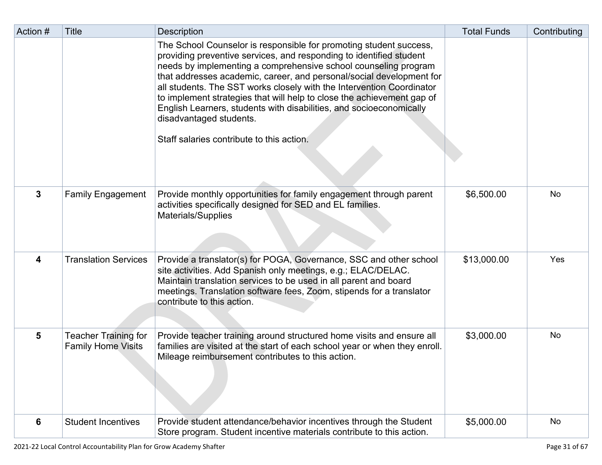| Action # | <b>Title</b>                                             | <b>Description</b>                                                                                                                                                                                                                                                                                                                                                                                                                                                                                                                                                                     | <b>Total Funds</b> | Contributing |
|----------|----------------------------------------------------------|----------------------------------------------------------------------------------------------------------------------------------------------------------------------------------------------------------------------------------------------------------------------------------------------------------------------------------------------------------------------------------------------------------------------------------------------------------------------------------------------------------------------------------------------------------------------------------------|--------------------|--------------|
|          |                                                          | The School Counselor is responsible for promoting student success,<br>providing preventive services, and responding to identified student<br>needs by implementing a comprehensive school counseling program<br>that addresses academic, career, and personal/social development for<br>all students. The SST works closely with the Intervention Coordinator<br>to implement strategies that will help to close the achievement gap of<br>English Learners, students with disabilities, and socioeconomically<br>disadvantaged students.<br>Staff salaries contribute to this action. |                    |              |
| 3        | <b>Family Engagement</b>                                 | Provide monthly opportunities for family engagement through parent<br>activities specifically designed for SED and EL families.<br>Materials/Supplies                                                                                                                                                                                                                                                                                                                                                                                                                                  | \$6,500.00         | No           |
| 4        | <b>Translation Services</b>                              | Provide a translator(s) for POGA, Governance, SSC and other school<br>site activities. Add Spanish only meetings, e.g.; ELAC/DELAC.<br>Maintain translation services to be used in all parent and board<br>meetings. Translation software fees, Zoom, stipends for a translator<br>contribute to this action.                                                                                                                                                                                                                                                                          | \$13,000.00        | Yes          |
| 5        | <b>Teacher Training for</b><br><b>Family Home Visits</b> | Provide teacher training around structured home visits and ensure all<br>families are visited at the start of each school year or when they enroll.<br>Mileage reimbursement contributes to this action.                                                                                                                                                                                                                                                                                                                                                                               | \$3,000.00         | No           |
| 6        | <b>Student Incentives</b>                                | Provide student attendance/behavior incentives through the Student<br>Store program. Student incentive materials contribute to this action.                                                                                                                                                                                                                                                                                                                                                                                                                                            | \$5,000.00         | No           |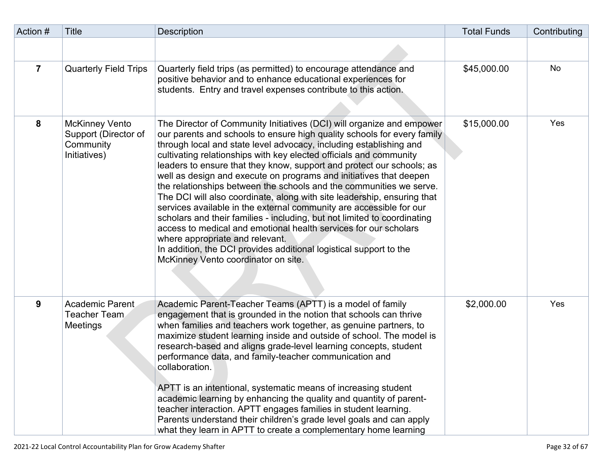| Action #       | <b>Title</b>                                                               | <b>Description</b>                                                                                                                                                                                                                                                                                                                                                                                                                                                                                                                                                                                                                                                                                                                                                                                                                                                                                                                                                   | <b>Total Funds</b> | Contributing |
|----------------|----------------------------------------------------------------------------|----------------------------------------------------------------------------------------------------------------------------------------------------------------------------------------------------------------------------------------------------------------------------------------------------------------------------------------------------------------------------------------------------------------------------------------------------------------------------------------------------------------------------------------------------------------------------------------------------------------------------------------------------------------------------------------------------------------------------------------------------------------------------------------------------------------------------------------------------------------------------------------------------------------------------------------------------------------------|--------------------|--------------|
|                |                                                                            |                                                                                                                                                                                                                                                                                                                                                                                                                                                                                                                                                                                                                                                                                                                                                                                                                                                                                                                                                                      |                    |              |
| $\overline{7}$ | <b>Quarterly Field Trips</b>                                               | Quarterly field trips (as permitted) to encourage attendance and<br>positive behavior and to enhance educational experiences for<br>students. Entry and travel expenses contribute to this action.                                                                                                                                                                                                                                                                                                                                                                                                                                                                                                                                                                                                                                                                                                                                                                   | \$45,000.00        | <b>No</b>    |
| 8              | <b>McKinney Vento</b><br>Support (Director of<br>Community<br>Initiatives) | The Director of Community Initiatives (DCI) will organize and empower<br>our parents and schools to ensure high quality schools for every family<br>through local and state level advocacy, including establishing and<br>cultivating relationships with key elected officials and community<br>leaders to ensure that they know, support and protect our schools; as<br>well as design and execute on programs and initiatives that deepen<br>the relationships between the schools and the communities we serve.<br>The DCI will also coordinate, along with site leadership, ensuring that<br>services available in the external community are accessible for our<br>scholars and their families - including, but not limited to coordinating<br>access to medical and emotional health services for our scholars<br>where appropriate and relevant.<br>In addition, the DCI provides additional logistical support to the<br>McKinney Vento coordinator on site. | \$15,000.00        | Yes          |
| 9              | <b>Academic Parent</b><br>Teacher Team<br><b>Meetings</b>                  | Academic Parent-Teacher Teams (APTT) is a model of family<br>engagement that is grounded in the notion that schools can thrive<br>when families and teachers work together, as genuine partners, to<br>maximize student learning inside and outside of school. The model is<br>research-based and aligns grade-level learning concepts, student<br>performance data, and family-teacher communication and<br>collaboration.<br>APTT is an intentional, systematic means of increasing student<br>academic learning by enhancing the quality and quantity of parent-<br>teacher interaction. APTT engages families in student learning.<br>Parents understand their children's grade level goals and can apply<br>what they learn in APTT to create a complementary home learning                                                                                                                                                                                     | \$2,000.00         | Yes          |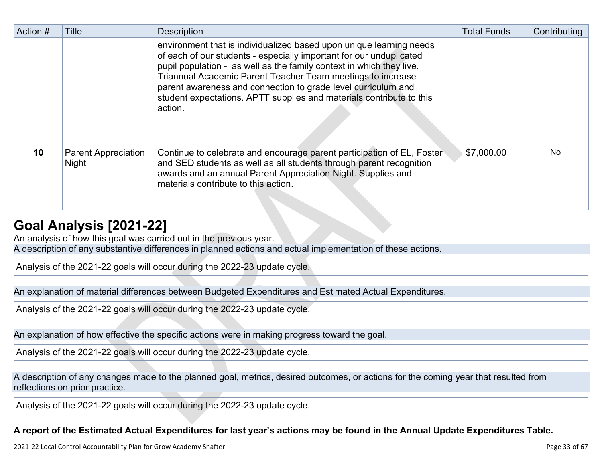| Action # | Title                               | <b>Description</b>                                                                                                                                                                                                                                                                                                                                                                                                                    | <b>Total Funds</b> | Contributing |
|----------|-------------------------------------|---------------------------------------------------------------------------------------------------------------------------------------------------------------------------------------------------------------------------------------------------------------------------------------------------------------------------------------------------------------------------------------------------------------------------------------|--------------------|--------------|
|          |                                     | environment that is individualized based upon unique learning needs<br>of each of our students - especially important for our unduplicated<br>pupil population - as well as the family context in which they live.<br>Triannual Academic Parent Teacher Team meetings to increase<br>parent awareness and connection to grade level curriculum and<br>student expectations. APTT supplies and materials contribute to this<br>action. |                    |              |
| 10       | <b>Parent Appreciation</b><br>Night | Continue to celebrate and encourage parent participation of EL, Foster<br>and SED students as well as all students through parent recognition<br>awards and an annual Parent Appreciation Night. Supplies and<br>materials contribute to this action.                                                                                                                                                                                 | \$7,000.00         | No           |

## **Goal Analysis [\[2021-22\]](http://www.doc-tracking.com/screenshots/21LCAP/Instructions/21LCAPInstructions.htm#GoalAnalysis)**

An analysis of how this goal was carried out in the previous year.

A description of any substantive differences in planned actions and actual implementation of these actions.

Analysis of the 2021-22 goals will occur during the 2022-23 update cycle.

An explanation of material differences between Budgeted Expenditures and Estimated Actual Expenditures.

Analysis of the 2021-22 goals will occur during the 2022-23 update cycle.

An explanation of how effective the specific actions were in making progress toward the goal.

Analysis of the 2021-22 goals will occur during the 2022-23 update cycle.

A description of any changes made to the planned goal, metrics, desired outcomes, or actions for the coming year that resulted from reflections on prior practice.

Analysis of the 2021-22 goals will occur during the 2022-23 update cycle.

#### A report of the Estimated Actual Expenditures for last year's actions may be found in the Annual Update Expenditures Table.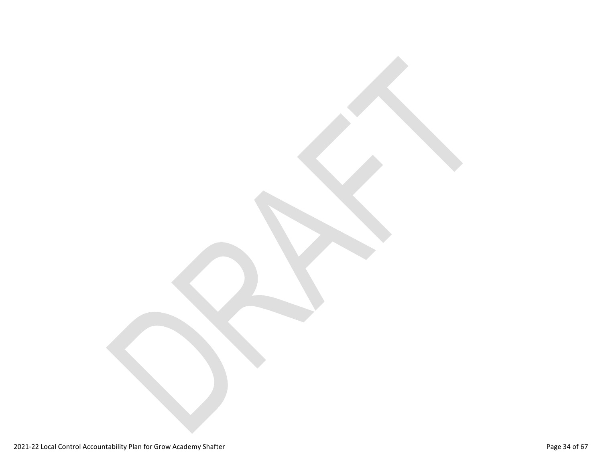2021-22 Local Control Accountability Plan for Grow Academy Shafter **Page 34 of 67** Page 34 of 67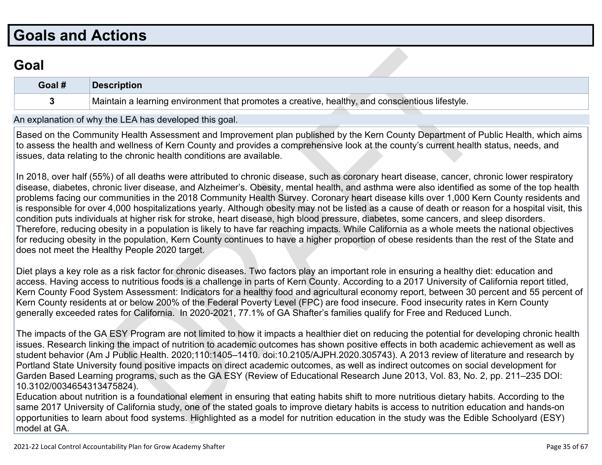# **Goals and [Actions](http://www.doc-tracking.com/screenshots/21LCAP/Instructions/21LCAPInstructions.htm#GoalsandActions)**

## **[Goal](http://www.doc-tracking.com/screenshots/21LCAP/Instructions/21LCAPInstructions.htm#goalDescription)**

| Goal # | <b>Description</b>                                                                              |
|--------|-------------------------------------------------------------------------------------------------|
|        | Maintain a learning environment that promotes a creative, healthy, and conscientious lifestyle. |

#### An [explanation](http://www.doc-tracking.com/screenshots/21LCAP/Instructions/21LCAPInstructions.htm#ExplanationofWhytheLEADevelopedGoals) of why the LEA has developed this goal.

Based on the Community Health Assessment and Improvement plan published by the Kern County Department of Public Health, which aims to assess the health and wellness of Kern County and provides a comprehensive look at the county's current health status, needs, and issues, data relating to the chronic health conditions are available.

In 2018, over half (55%) of all deaths were attributed to chronic disease, such as coronary heart disease, cancer, chronic lower respiratory disease, diabetes, chronic liver disease, and Alzheimer's. Obesity, mental health, and asthma were also identified as some of the top health problems facing our communities in the 2018 Community Health Survey. Coronary heart disease kills over 1,000 Kern County residents and is responsible for over 4,000 hospitalizations yearly. Although obesity may not be listed as a cause of death or reason for a hospital visit, this condition puts individuals at higher risk for stroke, heart disease, high blood pressure, diabetes, some cancers, and sleep disorders. Therefore, reducing obesity in a population is likely to have far reaching impacts. While California as a whole meets the national objectives for reducing obesity in the population, Kern County continues to have a higher proportion of obese residents than the rest of the State and does not meet the Healthy People 2020 target.

Diet plays a key role as a risk factor for chronic diseases. Two factors play an important role in ensuring a healthy diet: education and access. Having access to nutritious foods is a challenge in parts of Kern County. According to a 2017 University of California report titled, Kern County Food System Assessment: Indicators for a healthy food and agricultural economy report, between 30 percent and 55 percent of Kern County residents at or below 200% of the Federal Poverty Level (FPC) are food insecure. Food insecurity rates in Kern County generally exceeded rates for California. In 2020-2021, 77.1% of GA Shafter's families qualify for Free and Reduced Lunch.

The impacts of the GA ESY Program are not limited to how it impacts a healthier diet on reducing the potential for developing chronic health issues. Research linking the impact of nutrition to academic outcomes has shown positive effects in both academic achievement as well as student behavior (Am J Public Health. 2020;110:1405–1410. doi:10.2105/AJPH.2020.305743). A 2013 review of literature and research by Portland State University found positive impacts on direct academic outcomes, as well as indirect outcomes on social development for Garden Based Learning programs, such as the GA ESY (Review of Educational Research June 2013, Vol. 83, No. 2, pp. 211–235 DOI: 10.3102/0034654313475824).

Education about nutrition is a foundational element in ensuring that eating habits shift to more nutritious dietary habits. According to the same 2017 University of California study, one of the stated goals to improve dietary habits is access to nutrition education and hands-on opportunities to learn about food systems. Highlighted as a model for nutrition education in the study was the Edible Schoolyard (ESY) model at GA.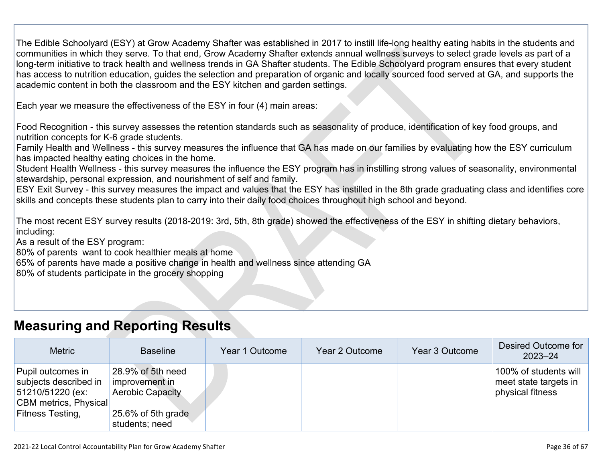The Edible Schoolyard (ESY) at Grow Academy Shafter was established in 2017 to instill life-long healthy eating habits in the students and communities in which they serve. To that end, Grow Academy Shafter extends annual wellness surveys to select grade levels as part of a long-term initiative to track health and wellness trends in GA Shafter students. The Edible Schoolyard program ensures that every student has access to nutrition education, guides the selection and preparation of organic and locally sourced food served at GA, and supports the academic content in both the classroom and the ESY kitchen and garden settings.

Each year we measure the effectiveness of the ESY in four (4) main areas:

Food Recognition - this survey assesses the retention standards such as seasonality of produce, identification of key food groups, and nutrition concepts for K-6 grade students.

Family Health and Wellness - this survey measures the influence that GA has made on our families by evaluating how the ESY curriculum has impacted healthy eating choices in the home.

Student Health Wellness - this survey measures the influence the ESY program has in instilling strong values of seasonality, environmental stewardship, personal expression, and nourishment of self and family.

ESY Exit Survey - this survey measures the impact and values that the ESY has instilled in the 8th grade graduating class and identifies core skills and concepts these students plan to carry into their daily food choices throughout high school and beyond.

The most recent ESY survey results (2018-2019: 3rd, 5th, 8th grade) showed the effectiveness of the ESY in shifting dietary behaviors, including:

As a result of the ESY program:

80% of parents want to cook healthier meals at home

65% of parents have made a positive change in health and wellness since attending GA

80% of students participate in the grocery shopping

### **[Measuring](http://www.doc-tracking.com/screenshots/21LCAP/Instructions/21LCAPInstructions.htm#MeasuringandReportingResults) and Reporting Results**

| <b>Metric</b>                                                                                  | <b>Baseline</b>                                                | Year 1 Outcome | Year 2 Outcome | Year 3 Outcome | Desired Outcome for<br>$2023 - 24$                                 |
|------------------------------------------------------------------------------------------------|----------------------------------------------------------------|----------------|----------------|----------------|--------------------------------------------------------------------|
| Pupil outcomes in<br>subjects described in<br>51210/51220 (ex:<br><b>CBM</b> metrics, Physical | 28.9% of 5th need<br>improvement in<br><b>Aerobic Capacity</b> |                |                |                | 100% of students will<br>meet state targets in<br>physical fitness |
| Fitness Testing,                                                                               | 25.6% of 5th grade<br>students; need                           |                |                |                |                                                                    |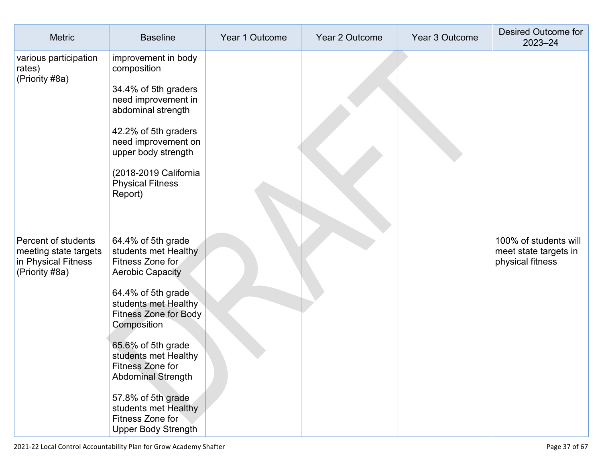| <b>Metric</b>                                                                         | <b>Baseline</b>                                                                                                                                                                                                                                                                                                                                                                       | Year 1 Outcome | Year 2 Outcome | Year 3 Outcome | <b>Desired Outcome for</b><br>$2023 - 24$                          |
|---------------------------------------------------------------------------------------|---------------------------------------------------------------------------------------------------------------------------------------------------------------------------------------------------------------------------------------------------------------------------------------------------------------------------------------------------------------------------------------|----------------|----------------|----------------|--------------------------------------------------------------------|
| various participation<br>rates)<br>(Priority #8a)                                     | improvement in body<br>composition<br>34.4% of 5th graders<br>need improvement in<br>abdominal strength<br>42.2% of 5th graders<br>need improvement on<br>upper body strength<br>(2018-2019 California<br><b>Physical Fitness</b><br>Report)                                                                                                                                          |                |                |                |                                                                    |
| Percent of students<br>meeting state targets<br>in Physical Fitness<br>(Priority #8a) | 64.4% of 5th grade<br>students met Healthy<br>Fitness Zone for<br><b>Aerobic Capacity</b><br>64.4% of 5th grade<br>students met Healthy<br><b>Fitness Zone for Body</b><br>Composition<br>65.6% of 5th grade<br>students met Healthy<br>Fitness Zone for<br><b>Abdominal Strength</b><br>57.8% of 5th grade<br>students met Healthy<br>Fitness Zone for<br><b>Upper Body Strength</b> |                |                |                | 100% of students will<br>meet state targets in<br>physical fitness |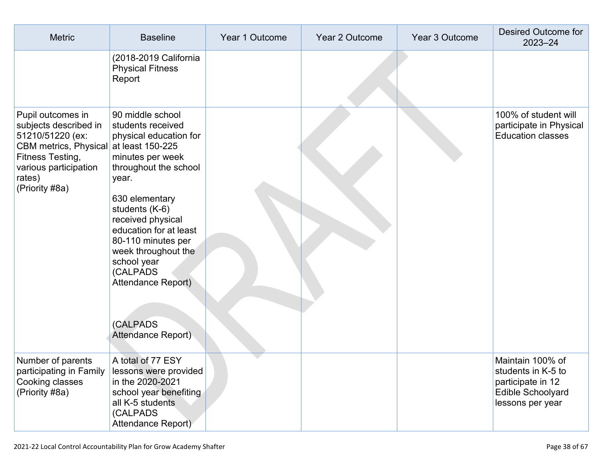| <b>Metric</b>                                                                                                                                                                     | <b>Baseline</b>                                                                                                                                                                                                                                                                                                                          | Year 1 Outcome | Year 2 Outcome | Year 3 Outcome | <b>Desired Outcome for</b><br>$2023 - 24$                                                            |
|-----------------------------------------------------------------------------------------------------------------------------------------------------------------------------------|------------------------------------------------------------------------------------------------------------------------------------------------------------------------------------------------------------------------------------------------------------------------------------------------------------------------------------------|----------------|----------------|----------------|------------------------------------------------------------------------------------------------------|
|                                                                                                                                                                                   | (2018-2019 California<br><b>Physical Fitness</b><br>Report                                                                                                                                                                                                                                                                               |                |                |                |                                                                                                      |
| Pupil outcomes in<br>subjects described in<br>51210/51220 (ex:<br>CBM metrics, Physical at least 150-225<br>Fitness Testing,<br>various participation<br>rates)<br>(Priority #8a) | 90 middle school<br>students received<br>physical education for<br>minutes per week<br>throughout the school<br>year.<br>630 elementary<br>students (K-6)<br>received physical<br>education for at least<br>80-110 minutes per<br>week throughout the<br>school year<br>(CALPADS<br>Attendance Report)<br>(CALPADS<br>Attendance Report) |                |                |                | 100% of student will<br>participate in Physical<br><b>Education classes</b>                          |
| Number of parents<br>participating in Family<br>Cooking classes<br>(Priority #8a)                                                                                                 | A total of 77 ESY<br>lessons were provided<br>in the 2020-2021<br>school year benefiting<br>all K-5 students<br>(CALPADS<br>Attendance Report)                                                                                                                                                                                           |                |                |                | Maintain 100% of<br>students in K-5 to<br>participate in 12<br>Edible Schoolyard<br>lessons per year |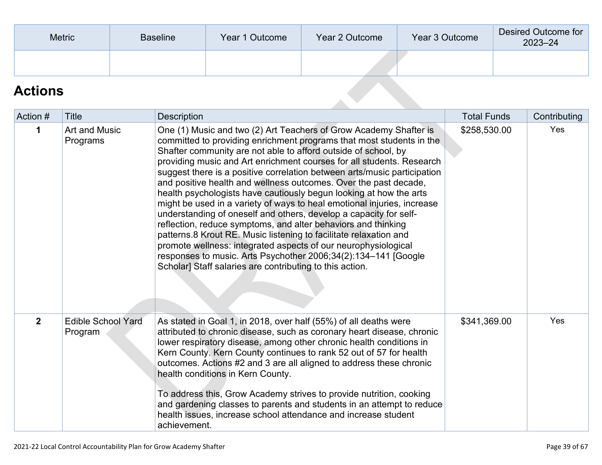| <b>Metric</b>  | <b>Baseline</b> | Year 1 Outcome | Year 2 Outcome | Year 3 Outcome | <b>Desired Outcome for</b><br>$2023 - 24$ |
|----------------|-----------------|----------------|----------------|----------------|-------------------------------------------|
|                |                 |                |                |                |                                           |
| <b>Actions</b> |                 |                |                |                |                                           |

## **[Actions](http://www.doc-tracking.com/screenshots/21LCAP/Instructions/21LCAPInstructions.htm#actions)**

| Action #     | Title                                | <b>Description</b>                                                                                                                                                                                                                                                                                                                                                                                                                                                                                                                                                                                                                                                                                                                                                                                                                                                                                                                                                                               | <b>Total Funds</b> | Contributing |
|--------------|--------------------------------------|--------------------------------------------------------------------------------------------------------------------------------------------------------------------------------------------------------------------------------------------------------------------------------------------------------------------------------------------------------------------------------------------------------------------------------------------------------------------------------------------------------------------------------------------------------------------------------------------------------------------------------------------------------------------------------------------------------------------------------------------------------------------------------------------------------------------------------------------------------------------------------------------------------------------------------------------------------------------------------------------------|--------------------|--------------|
|              | <b>Art and Music</b><br>Programs     | One (1) Music and two (2) Art Teachers of Grow Academy Shafter is<br>committed to providing enrichment programs that most students in the<br>Shafter community are not able to afford outside of school, by<br>providing music and Art enrichment courses for all students. Research<br>suggest there is a positive correlation between arts/music participation<br>and positive health and wellness outcomes. Over the past decade,<br>health psychologists have cautiously begun looking at how the arts<br>might be used in a variety of ways to heal emotional injuries, increase<br>understanding of oneself and others, develop a capacity for self-<br>reflection, reduce symptoms, and alter behaviors and thinking<br>patterns.8 Krout RE. Music listening to facilitate relaxation and<br>promote wellness: integrated aspects of our neurophysiological<br>responses to music. Arts Psychother 2006;34(2):134-141 [Google<br>Scholar] Staff salaries are contributing to this action. | \$258,530.00       | Yes          |
| $\mathbf{2}$ | <b>Edible School Yard</b><br>Program | As stated in Goal 1, in 2018, over half (55%) of all deaths were<br>attributed to chronic disease, such as coronary heart disease, chronic<br>lower respiratory disease, among other chronic health conditions in<br>Kern County. Kern County continues to rank 52 out of 57 for health<br>outcomes. Actions #2 and 3 are all aligned to address these chronic<br>health conditions in Kern County.<br>To address this, Grow Academy strives to provide nutrition, cooking<br>and gardening classes to parents and students in an attempt to reduce<br>health issues, increase school attendance and increase student<br>achievement.                                                                                                                                                                                                                                                                                                                                                            | \$341,369.00       | Yes          |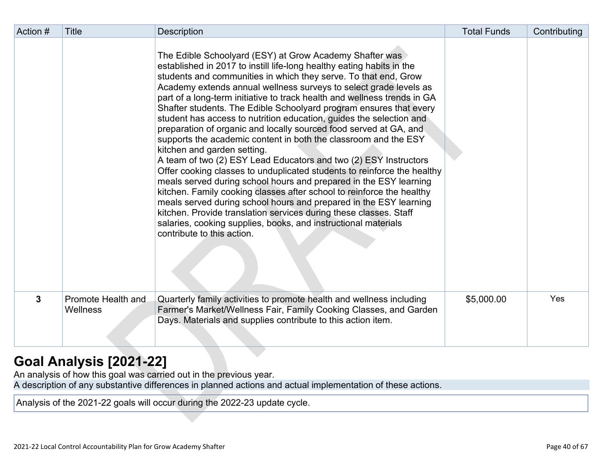| Action # | Title                          | <b>Description</b>                                                                                                                                                                                                                                                                                                                                                                                                                                                                                                                                                                                                                                                                                                                                                                                                                                                                                                                                                                                                                                                                                                                                                                                              | <b>Total Funds</b> | Contributing |
|----------|--------------------------------|-----------------------------------------------------------------------------------------------------------------------------------------------------------------------------------------------------------------------------------------------------------------------------------------------------------------------------------------------------------------------------------------------------------------------------------------------------------------------------------------------------------------------------------------------------------------------------------------------------------------------------------------------------------------------------------------------------------------------------------------------------------------------------------------------------------------------------------------------------------------------------------------------------------------------------------------------------------------------------------------------------------------------------------------------------------------------------------------------------------------------------------------------------------------------------------------------------------------|--------------------|--------------|
|          |                                | The Edible Schoolyard (ESY) at Grow Academy Shafter was<br>established in 2017 to instill life-long healthy eating habits in the<br>students and communities in which they serve. To that end, Grow<br>Academy extends annual wellness surveys to select grade levels as<br>part of a long-term initiative to track health and wellness trends in GA<br>Shafter students. The Edible Schoolyard program ensures that every<br>student has access to nutrition education, guides the selection and<br>preparation of organic and locally sourced food served at GA, and<br>supports the academic content in both the classroom and the ESY<br>kitchen and garden setting.<br>A team of two (2) ESY Lead Educators and two (2) ESY Instructors<br>Offer cooking classes to unduplicated students to reinforce the healthy<br>meals served during school hours and prepared in the ESY learning<br>kitchen. Family cooking classes after school to reinforce the healthy<br>meals served during school hours and prepared in the ESY learning<br>kitchen. Provide translation services during these classes. Staff<br>salaries, cooking supplies, books, and instructional materials<br>contribute to this action. |                    |              |
| 3        | Promote Health and<br>Wellness | Quarterly family activities to promote health and wellness including<br>Farmer's Market/Wellness Fair, Family Cooking Classes, and Garden<br>Days. Materials and supplies contribute to this action item.                                                                                                                                                                                                                                                                                                                                                                                                                                                                                                                                                                                                                                                                                                                                                                                                                                                                                                                                                                                                       | \$5,000.00         | Yes          |

## **Goal Analysis [\[2021-22\]](http://www.doc-tracking.com/screenshots/21LCAP/Instructions/21LCAPInstructions.htm#GoalAnalysis)**

An analysis of how this goal was carried out in the previous year.

A description of any substantive differences in planned actions and actual implementation of these actions.

Analysis of the 2021-22 goals will occur during the 2022-23 update cycle.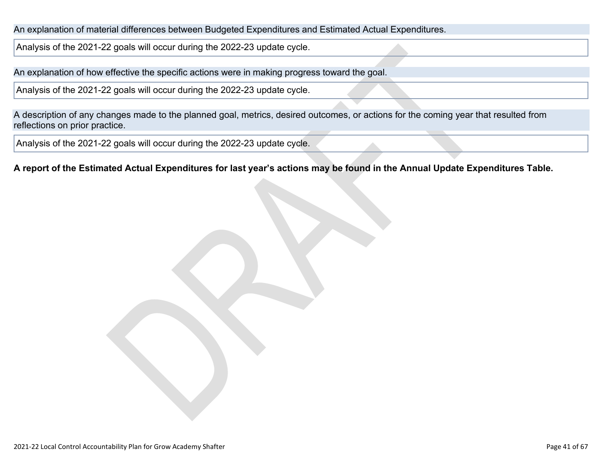An explanation of material differences between Budgeted Expenditures and Estimated Actual Expenditures.

Analysis of the 2021-22 goals will occur during the 2022-23 update cycle.

An explanation of how effective the specific actions were in making progress toward the goal.

Analysis of the 2021-22 goals will occur during the 2022-23 update cycle.

A description of any changes made to the planned goal, metrics, desired outcomes, or actions for the coming year that resulted from reflections on prior practice.

Analysis of the 2021-22 goals will occur during the 2022-23 update cycle.

A report of the Estimated Actual Expenditures for last year's actions may be found in the Annual Update Expenditures Table.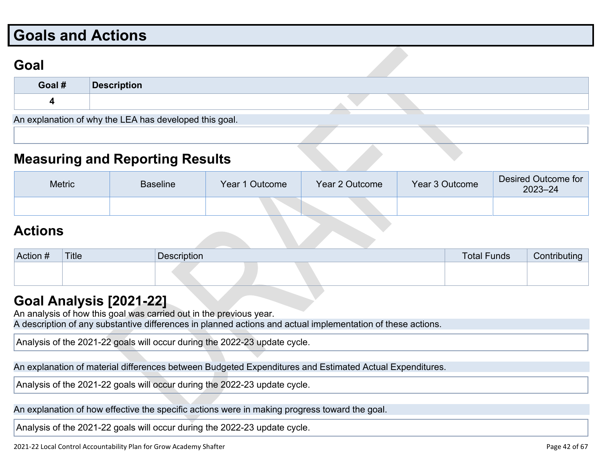# **Goals and [Actions](http://www.doc-tracking.com/screenshots/21LCAP/Instructions/21LCAPInstructions.htm#GoalsandActions)**

## **[Goal](http://www.doc-tracking.com/screenshots/21LCAP/Instructions/21LCAPInstructions.htm#goalDescription)**

| Goal # | Description                                            |
|--------|--------------------------------------------------------|
|        |                                                        |
|        | An explanation of why the LEA has developed this goal. |

### **[Measuring](http://www.doc-tracking.com/screenshots/21LCAP/Instructions/21LCAPInstructions.htm#MeasuringandReportingResults) and Reporting Results**

| <b>Metric</b> | <b>Baseline</b> | Year 1 Outcome | Year 2 Outcome | Year 3 Outcome | Desired Outcome for<br>$2023 - 24$ |
|---------------|-----------------|----------------|----------------|----------------|------------------------------------|
|               |                 |                |                |                |                                    |

### **[Actions](http://www.doc-tracking.com/screenshots/21LCAP/Instructions/21LCAPInstructions.htm#actions)**

| Action $#$ | Title | <b>Description</b> | <b>Total Funds</b> | Contributing<br>$\overline{\phantom{0}}$ |
|------------|-------|--------------------|--------------------|------------------------------------------|
|            |       |                    |                    |                                          |
|            |       |                    |                    |                                          |

### **Goal Analysis [\[2021-22\]](http://www.doc-tracking.com/screenshots/21LCAP/Instructions/21LCAPInstructions.htm#GoalAnalysis)**

An analysis of how this goal was carried out in the previous year.

A description of any substantive differences in planned actions and actual implementation of these actions.

Analysis of the 2021-22 goals will occur during the 2022-23 update cycle.

An explanation of material differences between Budgeted Expenditures and Estimated Actual Expenditures.

Analysis of the 2021-22 goals will occur during the 2022-23 update cycle.

An explanation of how effective the specific actions were in making progress toward the goal.

Analysis of the 2021-22 goals will occur during the 2022-23 update cycle.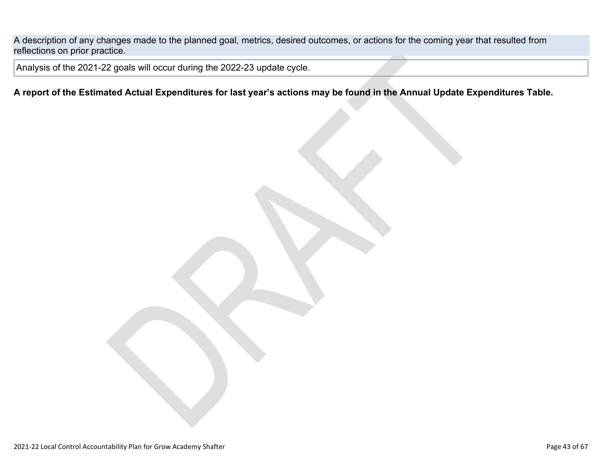A description of any changes made to the planned goal, metrics, desired outcomes, or actions for the coming year that resulted from reflections on prior practice.

Analysis of the 2021-22 goals will occur during the 2022-23 update cycle.

A report of the Estimated Actual Expenditures for last year's actions may be found in the Annual Update Expenditures Table.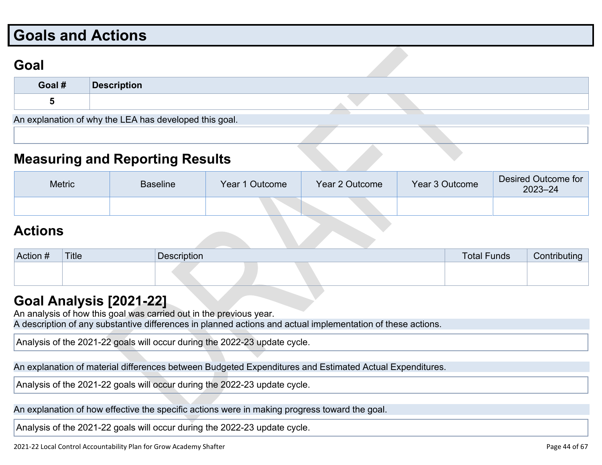# **Goals and [Actions](http://www.doc-tracking.com/screenshots/21LCAP/Instructions/21LCAPInstructions.htm#GoalsandActions)**

## **[Goal](http://www.doc-tracking.com/screenshots/21LCAP/Instructions/21LCAPInstructions.htm#goalDescription)**

| Goal # | Description                                            |
|--------|--------------------------------------------------------|
|        |                                                        |
|        | An explanation of why the LEA has developed this goal. |

### **[Measuring](http://www.doc-tracking.com/screenshots/21LCAP/Instructions/21LCAPInstructions.htm#MeasuringandReportingResults) and Reporting Results**

| <b>Metric</b> | <b>Baseline</b> | Year 1 Outcome | Year 2 Outcome | Year 3 Outcome | Desired Outcome for<br>$2023 - 24$ |
|---------------|-----------------|----------------|----------------|----------------|------------------------------------|
|               |                 |                |                |                |                                    |

### **[Actions](http://www.doc-tracking.com/screenshots/21LCAP/Instructions/21LCAPInstructions.htm#actions)**

| Action $#$ | Title | <b>Description</b> | <b>Total Funds</b> | Contributing<br>$\overline{\phantom{0}}$ |
|------------|-------|--------------------|--------------------|------------------------------------------|
|            |       |                    |                    |                                          |
|            |       |                    |                    |                                          |

### **Goal Analysis [\[2021-22\]](http://www.doc-tracking.com/screenshots/21LCAP/Instructions/21LCAPInstructions.htm#GoalAnalysis)**

An analysis of how this goal was carried out in the previous year.

A description of any substantive differences in planned actions and actual implementation of these actions.

Analysis of the 2021-22 goals will occur during the 2022-23 update cycle.

An explanation of material differences between Budgeted Expenditures and Estimated Actual Expenditures.

Analysis of the 2021-22 goals will occur during the 2022-23 update cycle.

An explanation of how effective the specific actions were in making progress toward the goal.

Analysis of the 2021-22 goals will occur during the 2022-23 update cycle.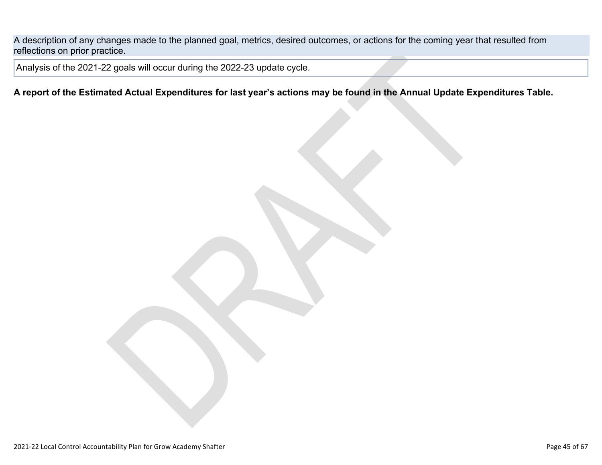A description of any changes made to the planned goal, metrics, desired outcomes, or actions for the coming year that resulted from reflections on prior practice.

Analysis of the 2021-22 goals will occur during the 2022-23 update cycle.

A report of the Estimated Actual Expenditures for last year's actions may be found in the Annual Update Expenditures Table.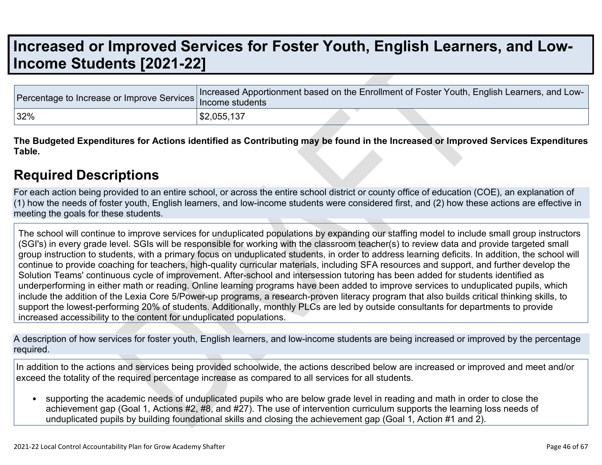# **[Increased or Improved Services for Foster Youth, English Learners, and Low-](http://www.doc-tracking.com/screenshots/21LCAP/Instructions/21LCAPInstructions.htm#IncreasedImprovedServices)Income [Students \[2021-22\]](http://www.doc-tracking.com/screenshots/21LCAP/Instructions/21LCAPInstructions.htm#IncreasedImprovedServices)**

| Percentage to Increase or Improve Services   Income students | Increased Apportionment based on the Enrollment of Foster Youth, English Learners, and Low- |
|--------------------------------------------------------------|---------------------------------------------------------------------------------------------|
| $ 32\%$                                                      | \$2,055,137                                                                                 |

**The Budgeted Expenditures for Actions identified as Contributing may be found in the Increased or Improved Services Expenditures Table.**

### **Required [Descriptions](http://www.doc-tracking.com/screenshots/21LCAP/Instructions/21LCAPInstructions.htm#RequiredDescriptions)**

For each action being provided to an entire school, or across the entire school district or county office of education (COE), an explanation of (1) how the needs of foster youth, English learners, and low-income students were considered first, and (2) how these actions are effective in meeting the goals for these students.

The school will continue to improve services for unduplicated populations by expanding our staffing model to include small group instructors (SGI's) in every grade level. SGIs will be responsible for working with the classroom teacher(s) to review data and provide targeted small group instruction to students, with a primary focus on unduplicated students, in order to address learning deficits. In addition, the school will continue to provide coaching for teachers, high-quality curricular materials, including SFA resources and support, and further develop the Solution Teams' continuous cycle of improvement. After-school and intersession tutoring has been added for students identified as underperforming in either math or reading. Online learning programs have been added to improve services to unduplicated pupils, which include the addition of the Lexia Core 5/Power-up programs, a research-proven literacy program that also builds critical thinking skills, to support the lowest-performing 20% of students. Additionally, monthly PLCs are led by outside consultants for departments to provide increased accessibility to the content for unduplicated populations.

A description of how services for foster youth, English learners, and low-income students are being increased or improved by the percentage required.

In addition to the actions and services being provided schoolwide, the actions described below are increased or improved and meet and/or exceed the totality of the required percentage increase as compared to all services for all students.

• supporting the academic needs of unduplicated pupils who are below grade level in reading and math in order to close the achievement gap (Goal 1, Actions #2, #8, and #27). The use of intervention curriculum supports the learning loss needs of unduplicated pupils by building foundational skills and closing the achievement gap (Goal 1, Action #1 and 2).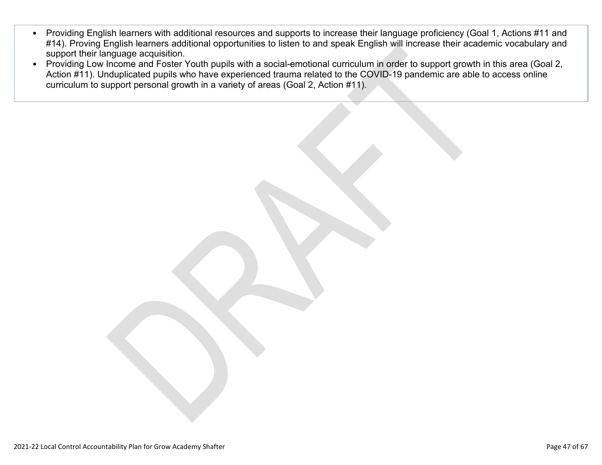- Providing English learners with additional resources and supports to increase their language proficiency (Goal 1, Actions #11 and #14). Proving English learners additional opportunities to listen to and speak English will increase their academic vocabulary and support their language acquisition.
- Providing Low Income and Foster Youth pupils with a social-emotional curriculum in order to support growth in this area (Goal 2, Action #11). Unduplicated pupils who have experienced trauma related to the COVID-19 pandemic are able to access online curriculum to support personal growth in a variety of areas (Goal 2, Action #11).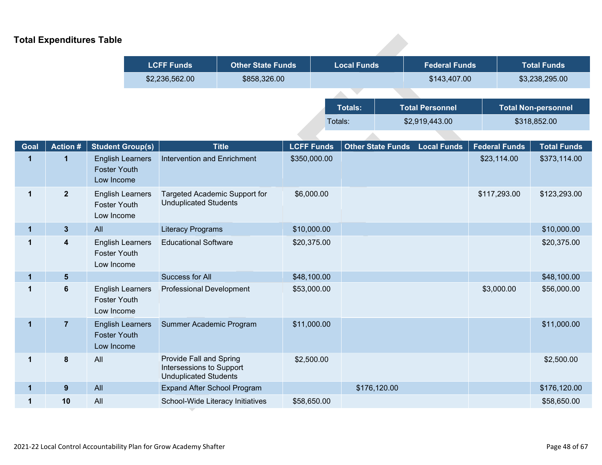### **Total Expenditures Table**

|              |                         |                                                              | <b>LCFF Funds</b>                                                                          | <b>Other State Funds</b> |                   | <b>Local Funds</b> |                          | <b>Federal Funds</b>   |  | <b>Total Funds</b>   |                            |
|--------------|-------------------------|--------------------------------------------------------------|--------------------------------------------------------------------------------------------|--------------------------|-------------------|--------------------|--------------------------|------------------------|--|----------------------|----------------------------|
|              |                         |                                                              | \$2,236,562.00                                                                             | \$858,326.00             |                   |                    |                          | \$143,407.00           |  |                      | \$3,238,295.00             |
|              |                         |                                                              |                                                                                            |                          |                   |                    |                          |                        |  |                      |                            |
|              |                         |                                                              |                                                                                            |                          |                   | <b>Totals:</b>     |                          | <b>Total Personnel</b> |  |                      | <b>Total Non-personnel</b> |
|              |                         |                                                              |                                                                                            |                          |                   | Totals:            |                          | \$2,919,443.00         |  |                      | \$318,852.00               |
|              |                         |                                                              |                                                                                            |                          |                   |                    |                          |                        |  |                      |                            |
| <b>Goal</b>  | <b>Action#</b>          | <b>Student Group(s)</b>                                      |                                                                                            | <b>Title</b>             | <b>LCFF Funds</b> |                    | <b>Other State Funds</b> | <b>Local Funds</b>     |  | <b>Federal Funds</b> | <b>Total Funds</b>         |
| 1            | 1                       | <b>English Learners</b><br><b>Foster Youth</b><br>Low Income | Intervention and Enrichment                                                                |                          | \$350,000.00      |                    |                          |                        |  | \$23,114.00          | \$373,114.00               |
| $\mathbf{1}$ | 2 <sup>1</sup>          | <b>English Learners</b><br><b>Foster Youth</b><br>Low Income | Targeted Academic Support for<br><b>Unduplicated Students</b>                              |                          | \$6,000.00        |                    |                          |                        |  | \$117,293.00         | \$123,293.00               |
| $\mathbf 1$  | $\mathbf{3}$            | All                                                          | <b>Literacy Programs</b>                                                                   |                          | \$10,000.00       |                    |                          |                        |  |                      | \$10,000.00                |
| $\mathbf 1$  | $\overline{\mathbf{4}}$ | <b>English Learners</b><br><b>Foster Youth</b><br>Low Income | <b>Educational Software</b>                                                                |                          | \$20,375.00       |                    |                          |                        |  |                      | \$20,375.00                |
| $\mathbf{1}$ | $5\phantom{.0}$         |                                                              | Success for All                                                                            |                          | \$48,100.00       |                    |                          |                        |  |                      | \$48,100.00                |
| $\mathbf{1}$ | $6\phantom{a}$          | <b>English Learners</b><br><b>Foster Youth</b><br>Low Income | <b>Professional Development</b>                                                            |                          | \$53,000.00       |                    |                          |                        |  | \$3,000.00           | \$56,000.00                |
| $\mathbf{1}$ | $\overline{7}$          | <b>English Learners</b><br><b>Foster Youth</b><br>Low Income | Summer Academic Program                                                                    |                          | \$11,000.00       |                    |                          |                        |  |                      | \$11,000.00                |
| $\mathbf{1}$ | 8                       | All                                                          | <b>Provide Fall and Spring</b><br>Intersessions to Support<br><b>Unduplicated Students</b> |                          | \$2,500.00        |                    |                          |                        |  |                      | \$2,500.00                 |
| 1            | 9                       | All                                                          | <b>Expand After School Program</b>                                                         |                          |                   |                    | \$176,120.00             |                        |  |                      | \$176,120.00               |
| $\mathbf 1$  | 10                      | All                                                          | School-Wide Literacy Initiatives                                                           |                          | \$58,650.00       |                    |                          |                        |  |                      | \$58,650.00                |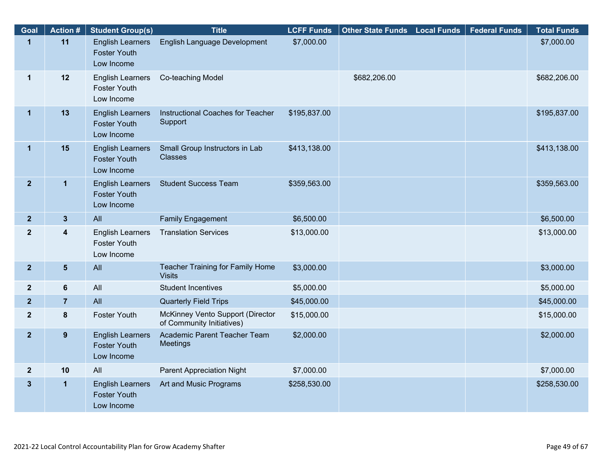| Goal                    | <b>Action#</b>          | <b>Student Group(s)</b>                                      | <b>Title</b>                                                  | <b>LCFF Funds</b> | <b>Other State Funds Local Funds</b> | <b>Federal Funds</b> | <b>Total Funds</b> |
|-------------------------|-------------------------|--------------------------------------------------------------|---------------------------------------------------------------|-------------------|--------------------------------------|----------------------|--------------------|
| $\mathbf 1$             | 11                      | <b>English Learners</b><br><b>Foster Youth</b><br>Low Income | English Language Development                                  | \$7,000.00        |                                      |                      | \$7,000.00         |
|                         |                         |                                                              |                                                               |                   |                                      |                      |                    |
| $\mathbf{1}$            | 12                      | <b>English Learners</b><br><b>Foster Youth</b><br>Low Income | Co-teaching Model                                             |                   | \$682,206.00                         |                      | \$682,206.00       |
| $\mathbf{1}$            | 13                      | <b>English Learners</b><br><b>Foster Youth</b><br>Low Income | <b>Instructional Coaches for Teacher</b><br>Support           | \$195,837.00      |                                      |                      | \$195,837.00       |
| $\mathbf{1}$            | 15                      | <b>English Learners</b><br><b>Foster Youth</b><br>Low Income | Small Group Instructors in Lab<br><b>Classes</b>              | \$413,138.00      |                                      |                      | \$413,138.00       |
| $\overline{2}$          | $\overline{\mathbf{1}}$ | <b>English Learners</b><br><b>Foster Youth</b><br>Low Income | <b>Student Success Team</b>                                   | \$359,563.00      |                                      |                      | \$359,563.00       |
| $\overline{2}$          | $\mathbf{3}$            | All                                                          | <b>Family Engagement</b>                                      | \$6,500.00        |                                      |                      | \$6,500.00         |
| $\mathbf{2}$            | $\overline{\mathbf{4}}$ | <b>English Learners</b><br><b>Foster Youth</b><br>Low Income | <b>Translation Services</b>                                   | \$13,000.00       |                                      |                      | \$13,000.00        |
| $\overline{2}$          | $5\phantom{.0}$         | All                                                          | <b>Teacher Training for Family Home</b><br><b>Visits</b>      | \$3,000.00        |                                      |                      | \$3,000.00         |
| $\overline{2}$          | $\bf 6$                 | All                                                          | <b>Student Incentives</b>                                     | \$5,000.00        |                                      |                      | \$5,000.00         |
| $\mathbf{2}$            | $\overline{7}$          | All                                                          | <b>Quarterly Field Trips</b>                                  | \$45,000.00       |                                      |                      | \$45,000.00        |
| $\overline{2}$          | ${\bf 8}$               | <b>Foster Youth</b>                                          | McKinney Vento Support (Director<br>of Community Initiatives) | \$15,000.00       |                                      |                      | \$15,000.00        |
| $\overline{2}$          | $9$                     | <b>English Learners</b><br><b>Foster Youth</b><br>Low Income | Academic Parent Teacher Team<br><b>Meetings</b>               | \$2,000.00        |                                      |                      | \$2,000.00         |
| $\mathbf{2}$            | 10                      | All                                                          | <b>Parent Appreciation Night</b>                              | \$7,000.00        |                                      |                      | \$7,000.00         |
| $\overline{\mathbf{3}}$ | $\mathbf{1}$            | <b>English Learners</b><br><b>Foster Youth</b><br>Low Income | Art and Music Programs                                        | \$258,530.00      |                                      |                      | \$258,530.00       |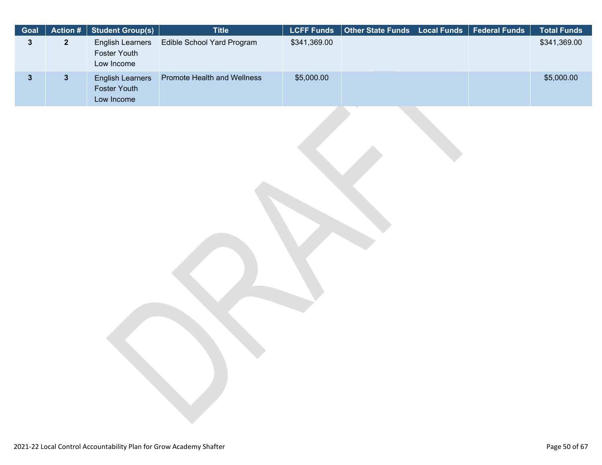| Goal         | <b>Action #</b> | <b>Student Group(s)</b>                               | <b>Title</b>                | <b>LCFF Funds</b> | Other State Funds   Local Funds   Federal Funds |  | <b>Total Funds</b> |
|--------------|-----------------|-------------------------------------------------------|-----------------------------|-------------------|-------------------------------------------------|--|--------------------|
| $\mathbf{3}$ | $\mathbf{2}$    | <b>English Learners</b><br>Foster Youth<br>Low Income | Edible School Yard Program  | \$341,369.00      |                                                 |  | \$341,369.00       |
| $\mathbf{3}$ | $\mathbf{3}$    | <b>English Learners</b><br>Foster Youth<br>Low Income | Promote Health and Wellness | \$5,000.00        |                                                 |  | \$5,000.00         |
|              |                 |                                                       |                             |                   |                                                 |  |                    |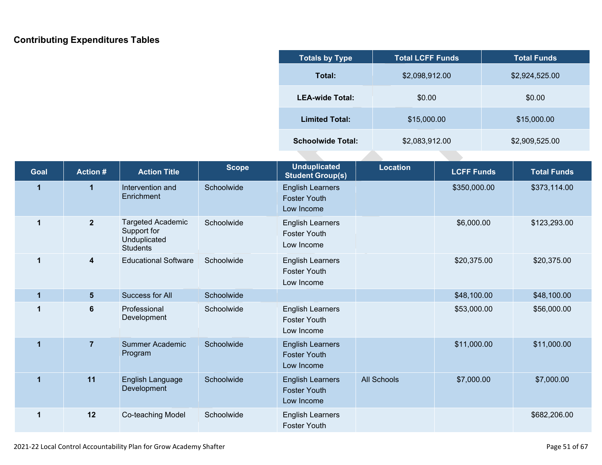### **Contributing Expenditures Tables**

| <b>Totals by Type</b>    | <b>Total LCFF Funds</b> | <b>Total Funds</b> |
|--------------------------|-------------------------|--------------------|
| Total:                   | \$2,098,912.00          | \$2,924,525.00     |
| <b>LEA-wide Total:</b>   | \$0.00                  | \$0.00             |
| <b>Limited Total:</b>    | \$15,000.00             | \$15,000.00        |
| <b>Schoolwide Total:</b> | \$2,083,912.00          | \$2,909,525.00     |

| <b>Goal</b>             | <b>Action#</b>       | <b>Action Title</b>                                                        | <b>Scope</b> | <b>Unduplicated</b><br><b>Student Group(s)</b>               | <b>Location</b>    | <b>LCFF Funds</b> | <b>Total Funds</b> |
|-------------------------|----------------------|----------------------------------------------------------------------------|--------------|--------------------------------------------------------------|--------------------|-------------------|--------------------|
| 1                       | $\blacktriangleleft$ | Intervention and<br>Enrichment                                             | Schoolwide   | <b>English Learners</b><br><b>Foster Youth</b><br>Low Income |                    | \$350,000.00      | \$373,114.00       |
| $\mathbf{1}$            | $\overline{2}$       | <b>Targeted Academic</b><br>Support for<br>Unduplicated<br><b>Students</b> | Schoolwide   | <b>English Learners</b><br><b>Foster Youth</b><br>Low Income |                    | \$6,000.00        | \$123,293.00       |
| $\mathbf 1$             | 4                    | <b>Educational Software</b>                                                | Schoolwide   | <b>English Learners</b><br><b>Foster Youth</b><br>Low Income |                    | \$20,375.00       | \$20,375.00        |
| $\blacktriangleleft$    | $5\phantom{1}$       | Success for All                                                            | Schoolwide   |                                                              |                    | \$48,100.00       | \$48,100.00        |
| $\overline{\mathbf{1}}$ | $6\phantom{1}$       | Professional<br>Development                                                | Schoolwide   | <b>English Learners</b><br><b>Foster Youth</b><br>Low Income |                    | \$53,000.00       | \$56,000.00        |
| $\overline{\mathbf{1}}$ | $\overline{7}$       | <b>Summer Academic</b><br>Program                                          | Schoolwide   | <b>English Learners</b><br><b>Foster Youth</b><br>Low Income |                    | \$11,000.00       | \$11,000.00        |
| 1                       | 11                   | English Language<br>Development                                            | Schoolwide   | <b>English Learners</b><br><b>Foster Youth</b><br>Low Income | <b>All Schools</b> | \$7,000.00        | \$7,000.00         |
| $\mathbf 1$             | 12                   | Co-teaching Model                                                          | Schoolwide   | <b>English Learners</b><br><b>Foster Youth</b>               |                    |                   | \$682,206.00       |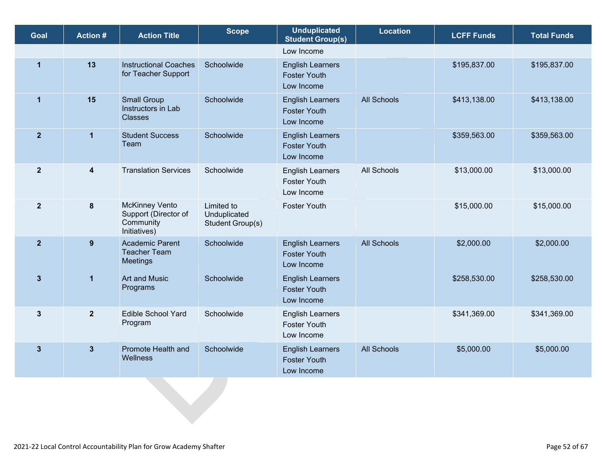| Goal           | <b>Action#</b>          | <b>Action Title</b>                                                        | <b>Scope</b>                                   | <b>Unduplicated</b><br><b>Student Group(s)</b>               | <b>Location</b>    | <b>LCFF Funds</b> | <b>Total Funds</b> |
|----------------|-------------------------|----------------------------------------------------------------------------|------------------------------------------------|--------------------------------------------------------------|--------------------|-------------------|--------------------|
|                |                         |                                                                            |                                                | Low Income                                                   |                    |                   |                    |
| $\mathbf{1}$   | 13                      | <b>Instructional Coaches</b><br>for Teacher Support                        | Schoolwide                                     | <b>English Learners</b><br><b>Foster Youth</b><br>Low Income |                    | \$195,837.00      | \$195,837.00       |
| 1              | 15                      | <b>Small Group</b><br>Instructors in Lab<br><b>Classes</b>                 | Schoolwide                                     | <b>English Learners</b><br><b>Foster Youth</b><br>Low Income | <b>All Schools</b> | \$413,138.00      | \$413,138.00       |
| $\overline{2}$ | $\overline{1}$          | <b>Student Success</b><br>Team                                             | Schoolwide                                     | <b>English Learners</b><br><b>Foster Youth</b><br>Low Income |                    | \$359,563.00      | \$359,563.00       |
| $\mathbf{2}$   | $\overline{\mathbf{4}}$ | <b>Translation Services</b>                                                | Schoolwide                                     | <b>English Learners</b><br><b>Foster Youth</b><br>Low Income | All Schools        | \$13,000.00       | \$13,000.00        |
| $\overline{2}$ | 8                       | <b>McKinney Vento</b><br>Support (Director of<br>Community<br>Initiatives) | Limited to<br>Unduplicated<br>Student Group(s) | <b>Foster Youth</b>                                          |                    | \$15,000.00       | \$15,000.00        |
| $\overline{2}$ | 9                       | <b>Academic Parent</b><br><b>Teacher Team</b><br><b>Meetings</b>           | Schoolwide                                     | <b>English Learners</b><br><b>Foster Youth</b><br>Low Income | <b>All Schools</b> | \$2,000.00        | \$2,000.00         |
| $\mathbf{3}$   | $\mathbf{1}$            | Art and Music<br>Programs                                                  | Schoolwide                                     | <b>English Learners</b><br><b>Foster Youth</b><br>Low Income |                    | \$258,530.00      | \$258,530.00       |
| $\mathbf{3}$   | $\overline{2}$          | <b>Edible School Yard</b><br>Program                                       | Schoolwide                                     | <b>English Learners</b><br><b>Foster Youth</b><br>Low Income |                    | \$341,369.00      | \$341,369.00       |
| $\mathbf{3}$   | $\mathbf{3}$            | Promote Health and<br>Wellness                                             | Schoolwide                                     | <b>English Learners</b><br><b>Foster Youth</b><br>Low Income | <b>All Schools</b> | \$5,000.00        | \$5,000.00         |
|                |                         |                                                                            |                                                |                                                              |                    |                   |                    |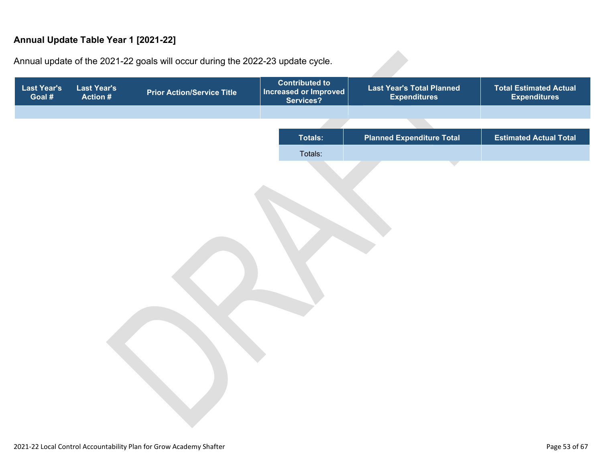### **Annual Update Table Year 1 [2021-22]**

|                              | Annual update of the 2021-22 goals will occur during the 2022-23 update cycle. |                                   |                                                             |                                                         |                                                      |  |  |  |  |
|------------------------------|--------------------------------------------------------------------------------|-----------------------------------|-------------------------------------------------------------|---------------------------------------------------------|------------------------------------------------------|--|--|--|--|
| <b>Last Year's</b><br>Goal # | <b>Last Year's</b><br><b>Action#</b>                                           | <b>Prior Action/Service Title</b> | <b>Contributed to</b><br>Increased or Improved<br>Services? | <b>Last Year's Total Planned</b><br><b>Expenditures</b> | <b>Total Estimated Actual</b><br><b>Expenditures</b> |  |  |  |  |
|                              |                                                                                |                                   |                                                             |                                                         |                                                      |  |  |  |  |
|                              |                                                                                |                                   | <b>Totals:</b>                                              | <b>Planned Expenditure Total</b>                        | <b>Estimated Actual Total</b>                        |  |  |  |  |
|                              |                                                                                |                                   | Totals:                                                     |                                                         |                                                      |  |  |  |  |
|                              |                                                                                |                                   |                                                             |                                                         |                                                      |  |  |  |  |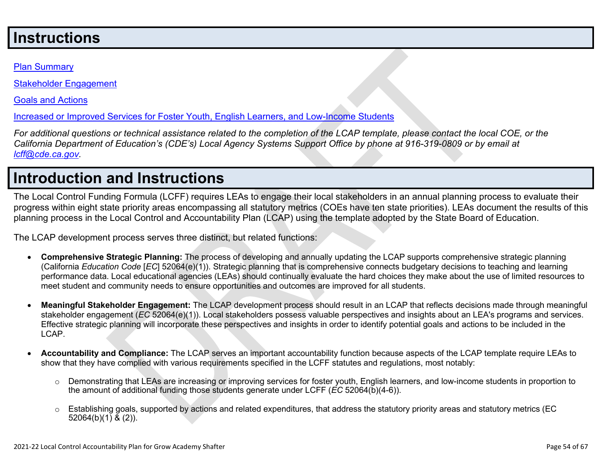## **Instructions**

#### [Plan Summary](http://www.doc-tracking.com/screenshots/21LCAP/Instructions/21LCAPInstructions.htm#plansummary)

[Stakeholder Engagement](http://www.doc-tracking.com/screenshots/21LCAP/Instructions/21LCAPInstructions.htm#stakeholderengagement)

Goals [and Actions](http://www.doc-tracking.com/screenshots/21LCAP/Instructions/21LCAPInstructions.htm#goalsandactions)

Increased or Improved Services for Foster Youth, English Learners, and [Low-Income](http://www.doc-tracking.com/screenshots/21LCAP/Instructions/21LCAPInstructions.htm#increasedimprovedservices) Students

*For additional questions or technical assistance related to the completion of the LCAP template, please contact the local COE, or the California Department of Education's (CDE's) Local Agency Systems Support Office by phone at 916-319-0809 or by email at [lcff@cde.ca.gov.](mailto:lcff@cde.ca.gov)*

## **Introduction and Instructions**

The Local Control Funding Formula (LCFF) requires LEAs to engage their local stakeholders in an annual planning process to evaluate their progress within eight state priority areas encompassing all statutory metrics (COEs have ten state priorities). LEAs document the results of this planning process in the Local Control and Accountability Plan (LCAP) using the template adopted by the State Board of Education.

The LCAP development process serves three distinct, but related functions:

- **Comprehensive Strategic Planning:** The process of developing and annually updating the LCAP supports comprehensive strategic planning (California *Education Code* [*EC*] 52064(e)(1)). Strategic planning that is comprehensive connects budgetary decisions to teaching and learning performance data. Local educational agencies (LEAs) should continually evaluate the hard choices they make about the use of limited resources to meet student and community needs to ensure opportunities and outcomes are improved for all students.
- **Meaningful Stakeholder Engagement:** The LCAP development process should result in an LCAP that reflects decisions made through meaningful stakeholder engagement (*EC* 52064(e)(1)). Local stakeholders possess valuable perspectives and insights about an LEA's programs and services. Effective strategic planning will incorporate these perspectives and insights in order to identify potential goals and actions to be included in the LCAP.
- **Accountability and Compliance:** The LCAP serves an important accountability function because aspects of the LCAP template require LEAs to show that they have complied with various requirements specified in the LCFF statutes and regulations, most notably:
	- $\circ$  Demonstrating that LEAs are increasing or improving services for foster youth, English learners, and low-income students in proportion to the amount of additional funding those students generate under LCFF (*EC* 52064(b)(4-6)).
	- $\circ$  Establishing goals, supported by actions and related expenditures, that address the statutory priority areas and statutory metrics (EC 52064(b)(1) & (2)).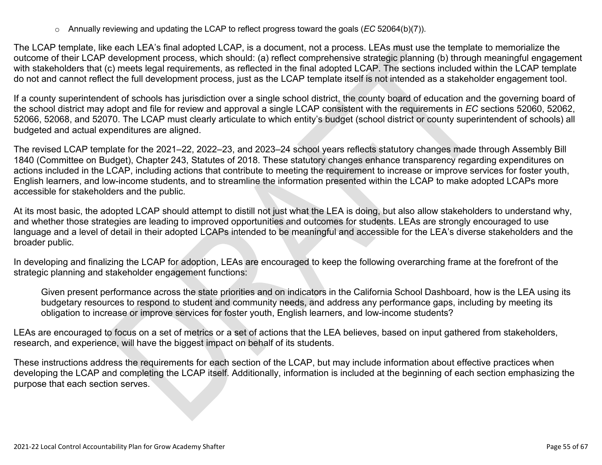o Annually reviewing and updating the LCAP to reflect progress toward the goals (*EC* 52064(b)(7)).

The LCAP template, like each LEA's final adopted LCAP, is a document, not a process. LEAs must use the template to memorialize the outcome of their LCAP development process, which should: (a) reflect comprehensive strategic planning (b) through meaningful engagement with stakeholders that (c) meets legal requirements, as reflected in the final adopted LCAP. The sections included within the LCAP template do not and cannot reflect the full development process, just as the LCAP template itself is not intended as a stakeholder engagement tool.

If a county superintendent of schools has jurisdiction over a single school district, the county board of education and the governing board of the school district may adopt and file for review and approval a single LCAP consistent with the requirements in *EC* sections 52060, 52062, 52066, 52068, and 52070. The LCAP must clearly articulate to which entity's budget (school district or county superintendent of schools) all budgeted and actual expenditures are aligned.

The revised LCAP template for the 2021–22, 2022–23, and 2023–24 school years reflects statutory changes made through Assembly Bill 1840 (Committee on Budget), Chapter 243, Statutes of 2018. These statutory changes enhance transparency regarding expenditures on actions included in the LCAP, including actions that contribute to meeting the requirement to increase or improve services for foster youth, English learners, and low-income students, and to streamline the information presented within the LCAP to make adopted LCAPs more accessible for stakeholders and the public.

At its most basic, the adopted LCAP should attempt to distill not just what the LEA is doing, but also allow stakeholders to understand why, and whether those strategies are leading to improved opportunities and outcomes for students. LEAs are strongly encouraged to use language and a level of detail in their adopted LCAPs intended to be meaningful and accessible for the LEA's diverse stakeholders and the broader public.

In developing and finalizing the LCAP for adoption, LEAs are encouraged to keep the following overarching frame at the forefront of the strategic planning and stakeholder engagement functions:

Given present performance across the state priorities and on indicators in the California School Dashboard, how is the LEA using its budgetary resources to respond to student and community needs, and address any performance gaps, including by meeting its obligation to increase or improve services for foster youth, English learners, and low-income students?

LEAs are encouraged to focus on a set of metrics or a set of actions that the LEA believes, based on input gathered from stakeholders, research, and experience, will have the biggest impact on behalf of its students.

These instructions address the requirements for each section of the LCAP, but may include information about effective practices when developing the LCAP and completing the LCAP itself. Additionally, information is included at the beginning of each section emphasizing the purpose that each section serves.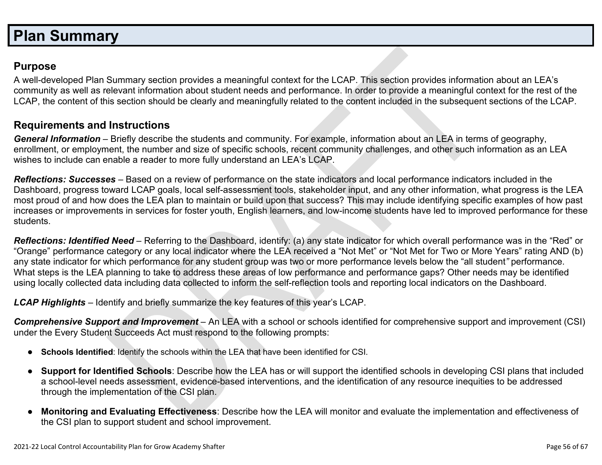## **Plan Summary**

### **Purpose**

A well-developed Plan Summary section provides a meaningful context for the LCAP. This section provides information about an LEA's community as well as relevant information about student needs and performance. In order to provide a meaningful context for the rest of the LCAP, the content of this section should be clearly and meaningfully related to the content included in the subsequent sections of the LCAP.

### **Requirements and Instructions**

*General Information* – Briefly describe the students and community. For example, information about an LEA in terms of geography, enrollment, or employment, the number and size of specific schools, recent community challenges, and other such information as an LEA wishes to include can enable a reader to more fully understand an LEA's LCAP.

*Reflections: Successes* – Based on a review of performance on the state indicators and local performance indicators included in the Dashboard, progress toward LCAP goals, local self-assessment tools, stakeholder input, and any other information, what progress is the LEA most proud of and how does the LEA plan to maintain or build upon that success? This may include identifying specific examples of how past increases or improvements in services for foster youth, English learners, and low-income students have led to improved performance for these students.

*Reflections: Identified Need* – Referring to the Dashboard, identify: (a) any state indicator for which overall performance was in the "Red" or "Orange" performance category or any local indicator where the LEA received a "Not Met" or "Not Met for Two or More Years" rating AND (b) any state indicator for which performance for any student group was two or more performance levels below the "all student*"* performance. What steps is the LEA planning to take to address these areas of low performance and performance gaps? Other needs may be identified using locally collected data including data collected to inform the self-reflection tools and reporting local indicators on the Dashboard.

*LCAP Highlights* – Identify and briefly summarize the key features of this year's LCAP.

*Comprehensive Support and Improvement* – An LEA with a school or schools identified for comprehensive support and improvement (CSI) under the Every Student Succeeds Act must respond to the following prompts:

- **Schools Identified**: Identify the schools within the LEA that have been identified for CSI.
- **Support for Identified Schools**: Describe how the LEA has or will support the identified schools in developing CSI plans that included a school-level needs assessment, evidence-based interventions, and the identification of any resource inequities to be addressed through the implementation of the CSI plan.
- **Monitoring and Evaluating Effectiveness**: Describe how the LEA will monitor and evaluate the implementation and effectiveness of the CSI plan to support student and school improvement.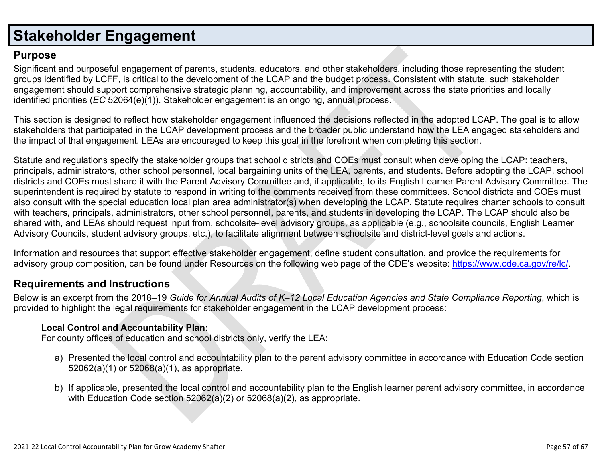# **Stakeholder Engagement**

### **Purpose**

Significant and purposeful engagement of parents, students, educators, and other stakeholders, including those representing the student groups identified by LCFF, is critical to the development of the LCAP and the budget process. Consistent with statute, such stakeholder engagement should support comprehensive strategic planning, accountability, and improvement across the state priorities and locally identified priorities (*EC* 52064(e)(1)). Stakeholder engagement is an ongoing, annual process.

This section is designed to reflect how stakeholder engagement influenced the decisions reflected in the adopted LCAP. The goal is to allow stakeholders that participated in the LCAP development process and the broader public understand how the LEA engaged stakeholders and the impact of that engagement. LEAs are encouraged to keep this goal in the forefront when completing this section.

Statute and regulations specify the stakeholder groups that school districts and COEs must consult when developing the LCAP: teachers, principals, administrators, other school personnel, local bargaining units of the LEA, parents, and students. Before adopting the LCAP, school districts and COEs must share it with the Parent Advisory Committee and, if applicable, to its English Learner Parent Advisory Committee. The superintendent is required by statute to respond in writing to the comments received from these committees. School districts and COEs must also consult with the special education local plan area administrator(s) when developing the LCAP. Statute requires charter schools to consult with teachers, principals, administrators, other school personnel, parents, and students in developing the LCAP. The LCAP should also be shared with, and LEAs should request input from, schoolsite-level advisory groups, as applicable (e.g., schoolsite councils, English Learner Advisory Councils, student advisory groups, etc.), to facilitate alignment between schoolsite and district-level goals and actions.

Information and resources that support effective stakeholder engagement, define student consultation, and provide the requirements for advisory group composition, can be found under Resources on the following web page of the CDE's website: [https://www.cde.ca.gov/re/lc/.](https://www.cde.ca.gov/re/lc/)

### **Requirements and Instructions**

Below is an excerpt from the 2018–19 *Guide for Annual Audits of K–12 Local Education Agencies and State Compliance Reporting*, which is provided to highlight the legal requirements for stakeholder engagement in the LCAP development process:

#### **Local Control and Accountability Plan:**

For county offices of education and school districts only, verify the LEA:

- a) Presented the local control and accountability plan to the parent advisory committee in accordance with Education Code section 52062(a)(1) or 52068(a)(1), as appropriate.
- b) If applicable, presented the local control and accountability plan to the English learner parent advisory committee, in accordance with Education Code section 52062(a)(2) or 52068(a)(2), as appropriate.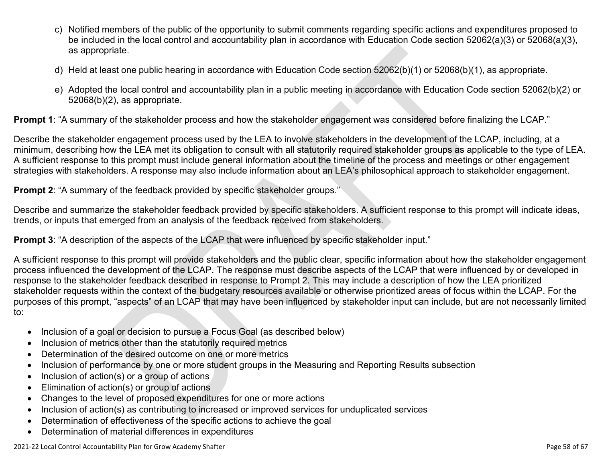- c) Notified members of the public of the opportunity to submit comments regarding specific actions and expenditures proposed to be included in the local control and accountability plan in accordance with Education Code section 52062(a)(3) or 52068(a)(3), as appropriate.
- d) Held at least one public hearing in accordance with Education Code section 52062(b)(1) or 52068(b)(1), as appropriate.
- e) Adopted the local control and accountability plan in a public meeting in accordance with Education Code section 52062(b)(2) or 52068(b)(2), as appropriate.

**Prompt 1**: "A summary of the stakeholder process and how the stakeholder engagement was considered before finalizing the LCAP."

Describe the stakeholder engagement process used by the LEA to involve stakeholders in the development of the LCAP, including, at a minimum, describing how the LEA met its obligation to consult with all statutorily required stakeholder groups as applicable to the type of LEA. A sufficient response to this prompt must include general information about the timeline of the process and meetings or other engagement strategies with stakeholders. A response may also include information about an LEA's philosophical approach to stakeholder engagement.

**Prompt 2:** "A summary of the feedback provided by specific stakeholder groups."

Describe and summarize the stakeholder feedback provided by specific stakeholders. A sufficient response to this prompt will indicate ideas, trends, or inputs that emerged from an analysis of the feedback received from stakeholders.

**Prompt 3:** "A description of the aspects of the LCAP that were influenced by specific stakeholder input."

A sufficient response to this prompt will provide stakeholders and the public clear, specific information about how the stakeholder engagement process influenced the development of the LCAP. The response must describe aspects of the LCAP that were influenced by or developed in response to the stakeholder feedback described in response to Prompt 2. This may include a description of how the LEA prioritized stakeholder requests within the context of the budgetary resources available or otherwise prioritized areas of focus within the LCAP. For the purposes of this prompt, "aspects" of an LCAP that may have been influenced by stakeholder input can include, but are not necessarily limited to:

- Inclusion of a goal or decision to pursue a Focus Goal (as described below)
- Inclusion of metrics other than the statutorily required metrics
- Determination of the desired outcome on one or more metrics
- Inclusion of performance by one or more student groups in the Measuring and Reporting Results subsection
- Inclusion of action(s) or a group of actions
- Elimination of action(s) or group of actions
- Changes to the level of proposed expenditures for one or more actions
- Inclusion of action(s) as contributing to increased or improved services for unduplicated services
- Determination of effectiveness of the specific actions to achieve the goal
- Determination of material differences in expenditures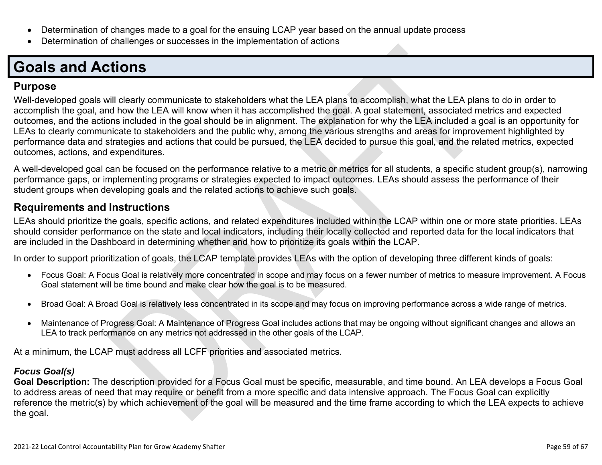- Determination of changes made to a goal for the ensuing LCAP year based on the annual update process
- Determination of challenges or successes in the implementation of actions

# **Goals and Actions**

### **Purpose**

Well-developed goals will clearly communicate to stakeholders what the LEA plans to accomplish, what the LEA plans to do in order to accomplish the goal, and how the LEA will know when it has accomplished the goal. A goal statement, associated metrics and expected outcomes, and the actions included in the goal should be in alignment. The explanation for why the LEA included a goal is an opportunity for LEAs to clearly communicate to stakeholders and the public why, among the various strengths and areas for improvement highlighted by performance data and strategies and actions that could be pursued, the LEA decided to pursue this goal, and the related metrics, expected outcomes, actions, and expenditures.

A well-developed goal can be focused on the performance relative to a metric or metrics for all students, a specific student group(s), narrowing performance gaps, or implementing programs or strategies expected to impact outcomes. LEAs should assess the performance of their student groups when developing goals and the related actions to achieve such goals.

### **Requirements and Instructions**

LEAs should prioritize the goals, specific actions, and related expenditures included within the LCAP within one or more state priorities. LEAs should consider performance on the state and local indicators, including their locally collected and reported data for the local indicators that are included in the Dashboard in determining whether and how to prioritize its goals within the LCAP.

In order to support prioritization of goals, the LCAP template provides LEAs with the option of developing three different kinds of goals:

- Focus Goal: A Focus Goal is relatively more concentrated in scope and may focus on a fewer number of metrics to measure improvement. A Focus Goal statement will be time bound and make clear how the goal is to be measured.
- Broad Goal: A Broad Goal is relatively less concentrated in its scope and may focus on improving performance across a wide range of metrics.
- Maintenance of Progress Goal: A Maintenance of Progress Goal includes actions that may be ongoing without significant changes and allows an LEA to track performance on any metrics not addressed in the other goals of the LCAP.

At a minimum, the LCAP must address all LCFF priorities and associated metrics.

### *Focus Goal(s)*

**Goal Description:** The description provided for a Focus Goal must be specific, measurable, and time bound. An LEA develops a Focus Goal to address areas of need that may require or benefit from a more specific and data intensive approach. The Focus Goal can explicitly reference the metric(s) by which achievement of the goal will be measured and the time frame according to which the LEA expects to achieve the goal.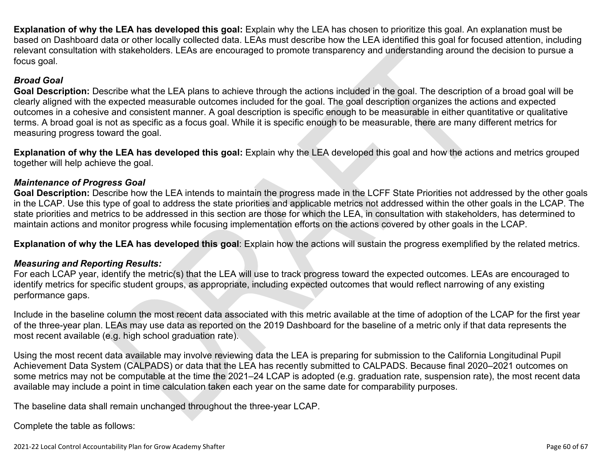**Explanation of why the LEA has developed this goal:** Explain why the LEA has chosen to prioritize this goal. An explanation must be based on Dashboard data or other locally collected data. LEAs must describe how the LEA identified this goal for focused attention, including relevant consultation with stakeholders. LEAs are encouraged to promote transparency and understanding around the decision to pursue a focus goal.

#### *Broad Goal*

**Goal Description:** Describe what the LEA plans to achieve through the actions included in the goal. The description of a broad goal will be clearly aligned with the expected measurable outcomes included for the goal. The goal description organizes the actions and expected outcomes in a cohesive and consistent manner. A goal description is specific enough to be measurable in either quantitative or qualitative terms. A broad goal is not as specific as a focus goal. While it is specific enough to be measurable, there are many different metrics for measuring progress toward the goal.

**Explanation of why the LEA has developed this goal:** Explain why the LEA developed this goal and how the actions and metrics grouped together will help achieve the goal.

#### *Maintenance of Progress Goal*

Goal Description: Describe how the LEA intends to maintain the progress made in the LCFF State Priorities not addressed by the other goals in the LCAP. Use this type of goal to address the state priorities and applicable metrics not addressed within the other goals in the LCAP. The state priorities and metrics to be addressed in this section are those for which the LEA, in consultation with stakeholders, has determined to maintain actions and monitor progress while focusing implementation efforts on the actions covered by other goals in the LCAP.

**Explanation of why the LEA has developed this goal**: Explain how the actions will sustain the progress exemplified by the related metrics.

#### *Measuring and Reporting Results:*

For each LCAP year, identify the metric(s) that the LEA will use to track progress toward the expected outcomes. LEAs are encouraged to identify metrics for specific student groups, as appropriate, including expected outcomes that would reflect narrowing of any existing performance gaps.

Include in the baseline column the most recent data associated with this metric available at the time of adoption of the LCAP for the first year of the three-year plan. LEAs may use data as reported on the 2019 Dashboard for the baseline of a metric only if that data represents the most recent available (e.g. high school graduation rate).

Using the most recent data available may involve reviewing data the LEA is preparing for submission to the California Longitudinal Pupil Achievement Data System (CALPADS) or data that the LEA has recently submitted to CALPADS. Because final 2020–2021 outcomes on some metrics may not be computable at the time the 2021–24 LCAP is adopted (e.g. graduation rate, suspension rate), the most recent data available may include a point in time calculation taken each year on the same date for comparability purposes.

The baseline data shall remain unchanged throughout the three-year LCAP.

Complete the table as follows: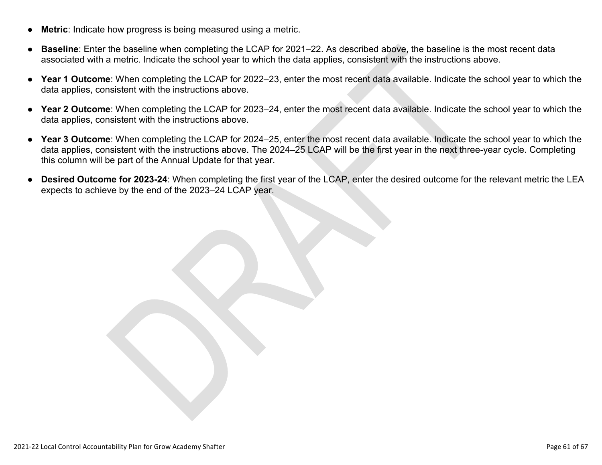- **Metric**: Indicate how progress is being measured using a metric.
- **Baseline**: Enter the baseline when completing the LCAP for 2021–22. As described above, the baseline is the most recent data associated with a metric. Indicate the school year to which the data applies, consistent with the instructions above.
- **Year 1 Outcome**: When completing the LCAP for 2022–23, enter the most recent data available. Indicate the school year to which the data applies, consistent with the instructions above.
- **Year 2 Outcome**: When completing the LCAP for 2023–24, enter the most recent data available. Indicate the school year to which the data applies, consistent with the instructions above.
- **Year 3 Outcome**: When completing the LCAP for 2024–25, enter the most recent data available. Indicate the school year to which the data applies, consistent with the instructions above. The 2024–25 LCAP will be the first year in the next three-year cycle. Completing this column will be part of the Annual Update for that year.
- **Desired Outcome for 2023-24**: When completing the first year of the LCAP, enter the desired outcome for the relevant metric the LEA expects to achieve by the end of the 2023–24 LCAP year.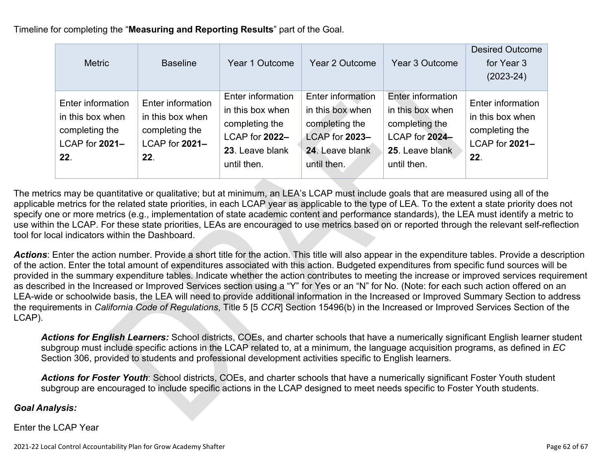Timeline for completing the "**Measuring and Reporting Results**" part of the Goal.

| <b>Metric</b>                                                                    | <b>Baseline</b>                                                                  | Year 1 Outcome                                                                                                  | <b>Year 2 Outcome</b>                                                                                       | Year 3 Outcome                                                                                                     | <b>Desired Outcome</b><br>for Year 3<br>$(2023-24)$                              |
|----------------------------------------------------------------------------------|----------------------------------------------------------------------------------|-----------------------------------------------------------------------------------------------------------------|-------------------------------------------------------------------------------------------------------------|--------------------------------------------------------------------------------------------------------------------|----------------------------------------------------------------------------------|
| Enter information<br>in this box when<br>completing the<br>LCAP for 2021-<br>22. | Enter information<br>in this box when<br>completing the<br>LCAP for 2021-<br>22. | Enter information<br>in this box when<br>completing the<br>$LCAP$ for $2022-$<br>23. Leave blank<br>until then. | Enter information<br>in this box when<br>completing the<br>LCAP for 2023-<br>24. Leave blank<br>until then. | <b>Enter information</b><br>in this box when<br>completing the<br>LCAP for 2024-<br>25. Leave blank<br>until then. | Enter information<br>in this box when<br>completing the<br>LCAP for 2021-<br>22. |

The metrics may be quantitative or qualitative; but at minimum, an LEA's LCAP must include goals that are measured using all of the applicable metrics for the related state priorities, in each LCAP year as applicable to the type of LEA. To the extent a state priority does not specify one or more metrics (e.g., implementation of state academic content and performance standards), the LEA must identify a metric to use within the LCAP. For these state priorities, LEAs are encouraged to use metrics based on or reported through the relevant self-reflection tool for local indicators within the Dashboard.

Actions: Enter the action number. Provide a short title for the action. This title will also appear in the expenditure tables. Provide a description of the action. Enter the total amount of expenditures associated with this action. Budgeted expenditures from specific fund sources will be provided in the summary expenditure tables. Indicate whether the action contributes to meeting the increase or improved services requirement as described in the Increased or Improved Services section using a "Y" for Yes or an "N" for No. (Note: for each such action offered on an LEA-wide or schoolwide basis, the LEA will need to provide additional information in the Increased or Improved Summary Section to address the requirements in *California Code of Regulations*, Title 5 [5 *CCR*] Section 15496(b) in the Increased or Improved Services Section of the LCAP).

*Actions for English Learners:* School districts, COEs, and charter schools that have a numerically significant English learner student subgroup must include specific actions in the LCAP related to, at a minimum, the language acquisition programs, as defined in *EC* Section 306, provided to students and professional development activities specific to English learners.

*Actions for Foster Youth*: School districts, COEs, and charter schools that have a numerically significant Foster Youth student subgroup are encouraged to include specific actions in the LCAP designed to meet needs specific to Foster Youth students.

#### *Goal Analysis:*

Enter the LCAP Year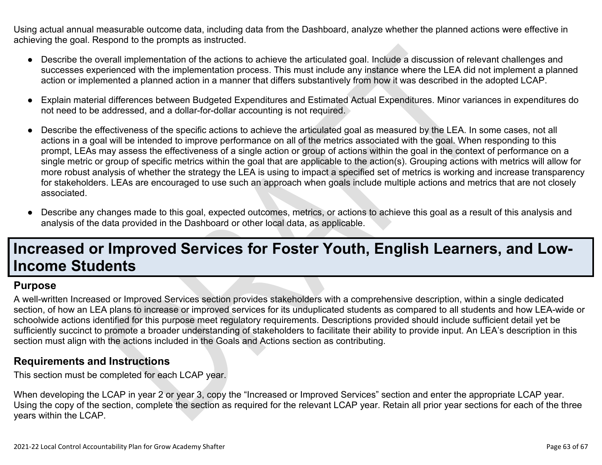Using actual annual measurable outcome data, including data from the Dashboard, analyze whether the planned actions were effective in achieving the goal. Respond to the prompts as instructed.

- Describe the overall implementation of the actions to achieve the articulated goal. Include a discussion of relevant challenges and successes experienced with the implementation process. This must include any instance where the LEA did not implement a planned action or implemented a planned action in a manner that differs substantively from how it was described in the adopted LCAP.
- Explain material differences between Budgeted Expenditures and Estimated Actual Expenditures. Minor variances in expenditures do not need to be addressed, and a dollar-for-dollar accounting is not required.
- Describe the effectiveness of the specific actions to achieve the articulated goal as measured by the LEA. In some cases, not all actions in a goal will be intended to improve performance on all of the metrics associated with the goal. When responding to this prompt, LEAs may assess the effectiveness of a single action or group of actions within the goal in the context of performance on a single metric or group of specific metrics within the goal that are applicable to the action(s). Grouping actions with metrics will allow for more robust analysis of whether the strategy the LEA is using to impact a specified set of metrics is working and increase transparency for stakeholders. LEAs are encouraged to use such an approach when goals include multiple actions and metrics that are not closely associated.
- Describe any changes made to this goal, expected outcomes, metrics, or actions to achieve this goal as a result of this analysis and analysis of the data provided in the Dashboard or other local data, as applicable.

## **Increased or Improved Services for Foster Youth, English Learners, and Low-Income Students**

#### **Purpose**

A well-written Increased or Improved Services section provides stakeholders with a comprehensive description, within a single dedicated section, of how an LEA plans to increase or improved services for its unduplicated students as compared to all students and how LEA-wide or schoolwide actions identified for this purpose meet regulatory requirements. Descriptions provided should include sufficient detail yet be sufficiently succinct to promote a broader understanding of stakeholders to facilitate their ability to provide input. An LEA's description in this section must align with the actions included in the Goals and Actions section as contributing.

### **Requirements and Instructions**

This section must be completed for each LCAP year.

When developing the LCAP in year 2 or year 3, copy the "Increased or Improved Services" section and enter the appropriate LCAP year. Using the copy of the section, complete the section as required for the relevant LCAP year. Retain all prior year sections for each of the three years within the LCAP.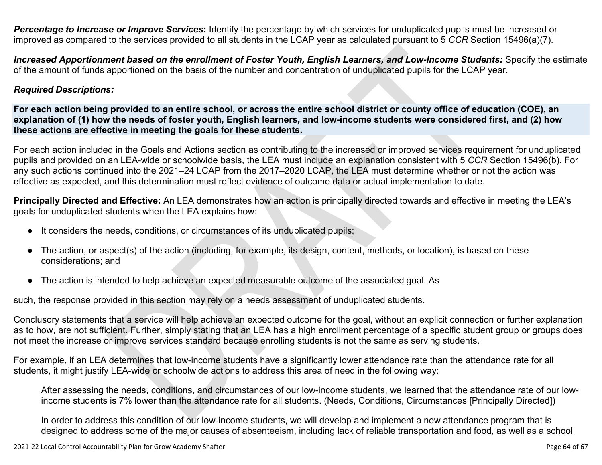*Percentage to Increase or Improve Services***:** Identify the percentage by which services for unduplicated pupils must be increased or improved as compared to the services provided to all students in the LCAP year as calculated pursuant to 5 *CCR* Section 15496(a)(7).

*Increased Apportionment based on the enrollment of Foster Youth, English Learners, and Low-Income Students:* Specify the estimate of the amount of funds apportioned on the basis of the number and concentration of unduplicated pupils for the LCAP year.

#### *Required Descriptions:*

**For each action being provided to an entire school, or across the entire school district or county office of education (COE), an explanation of (1) how the needs of foster youth, English learners, and low-income students were considered first, and (2) how these actions are effective in meeting the goals for these students.**

For each action included in the Goals and Actions section as contributing to the increased or improved services requirement for unduplicated pupils and provided on an LEA-wide or schoolwide basis, the LEA must include an explanation consistent with 5 *CCR* Section 15496(b). For any such actions continued into the 2021–24 LCAP from the 2017–2020 LCAP, the LEA must determine whether or not the action was effective as expected, and this determination must reflect evidence of outcome data or actual implementation to date.

**Principally Directed and Effective:** An LEA demonstrates how an action is principally directed towards and effective in meeting the LEA's goals for unduplicated students when the LEA explains how:

- It considers the needs, conditions, or circumstances of its unduplicated pupils;
- The action, or aspect(s) of the action (including, for example, its design, content, methods, or location), is based on these considerations; and
- The action is intended to help achieve an expected measurable outcome of the associated goal. As

such, the response provided in this section may rely on a needs assessment of unduplicated students.

Conclusory statements that a service will help achieve an expected outcome for the goal, without an explicit connection or further explanation as to how, are not sufficient. Further, simply stating that an LEA has a high enrollment percentage of a specific student group or groups does not meet the increase or improve services standard because enrolling students is not the same as serving students.

For example, if an LEA determines that low-income students have a significantly lower attendance rate than the attendance rate for all students, it might justify LEA-wide or schoolwide actions to address this area of need in the following way:

After assessing the needs, conditions, and circumstances of our low-income students, we learned that the attendance rate of our lowincome students is 7% lower than the attendance rate for all students. (Needs, Conditions, Circumstances [Principally Directed])

In order to address this condition of our low-income students, we will develop and implement a new attendance program that is designed to address some of the major causes of absenteeism, including lack of reliable transportation and food, as well as a school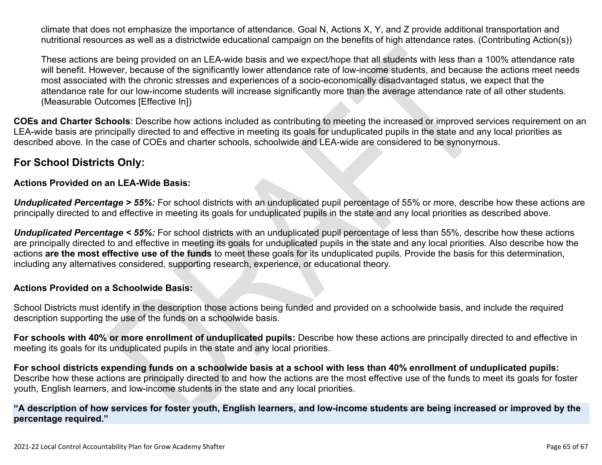climate that does not emphasize the importance of attendance. Goal N, Actions X, Y, and Z provide additional transportation and nutritional resources as well as a districtwide educational campaign on the benefits of high attendance rates. (Contributing Action(s))

These actions are being provided on an LEA-wide basis and we expect/hope that all students with less than a 100% attendance rate will benefit. However, because of the significantly lower attendance rate of low-income students, and because the actions meet needs most associated with the chronic stresses and experiences of a socio-economically disadvantaged status, we expect that the attendance rate for our low-income students will increase significantly more than the average attendance rate of all other students. (Measurable Outcomes [Effective In])

**COEs and Charter Schools**: Describe how actions included as contributing to meeting the increased or improved services requirement on an LEA-wide basis are principally directed to and effective in meeting its goals for unduplicated pupils in the state and any local priorities as described above. In the case of COEs and charter schools, schoolwide and LEA-wide are considered to be synonymous.

### **For School Districts Only:**

#### **Actions Provided on an LEA-Wide Basis:**

*Unduplicated Percentage > 55%:* For school districts with an unduplicated pupil percentage of 55% or more, describe how these actions are principally directed to and effective in meeting its goals for unduplicated pupils in the state and any local priorities as described above.

*Unduplicated Percentage < 55%:* For school districts with an unduplicated pupil percentage of less than 55%, describe how these actions are principally directed to and effective in meeting its goals for unduplicated pupils in the state and any local priorities. Also describe how the actions **are the most effective use of the funds** to meet these goals for its unduplicated pupils. Provide the basis for this determination, including any alternatives considered, supporting research, experience, or educational theory.

#### **Actions Provided on a Schoolwide Basis:**

School Districts must identify in the description those actions being funded and provided on a schoolwide basis, and include the required description supporting the use of the funds on a schoolwide basis.

**For schools with 40% or more enrollment of unduplicated pupils:** Describe how these actions are principally directed to and effective in meeting its goals for its unduplicated pupils in the state and any local priorities.

**For school districts expending funds on a schoolwide basis at a school with less than 40% enrollment of unduplicated pupils:** Describe how these actions are principally directed to and how the actions are the most effective use of the funds to meet its goals for foster youth, English learners, and low-income students in the state and any local priorities.

#### **"A description of how services for foster youth, English learners, and low-income students are being increased or improved by the percentage required."**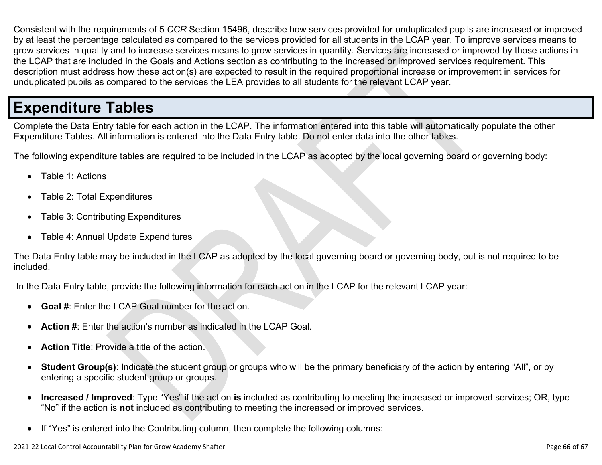Consistent with the requirements of 5 *CCR* Section 15496, describe how services provided for unduplicated pupils are increased or improved by at least the percentage calculated as compared to the services provided for all students in the LCAP year. To improve services means to grow services in quality and to increase services means to grow services in quantity. Services are increased or improved by those actions in the LCAP that are included in the Goals and Actions section as contributing to the increased or improved services requirement. This description must address how these action(s) are expected to result in the required proportional increase or improvement in services for unduplicated pupils as compared to the services the LEA provides to all students for the relevant LCAP year.

# **Expenditure Tables**

Complete the Data Entry table for each action in the LCAP. The information entered into this table will automatically populate the other Expenditure Tables. All information is entered into the Data Entry table. Do not enter data into the other tables.

The following expenditure tables are required to be included in the LCAP as adopted by the local governing board or governing body:

- Table 1: Actions
- Table 2: Total Expenditures
- Table 3: Contributing Expenditures
- Table 4: Annual Update Expenditures

The Data Entry table may be included in the LCAP as adopted by the local governing board or governing body, but is not required to be included.

In the Data Entry table, provide the following information for each action in the LCAP for the relevant LCAP year:

- **Goal #**: Enter the LCAP Goal number for the action.
- **Action #**: Enter the action's number as indicated in the LCAP Goal.
- **Action Title**: Provide a title of the action.
- **Student Group(s)**: Indicate the student group or groups who will be the primary beneficiary of the action by entering "All", or by entering a specific student group or groups.
- **Increased / Improved**: Type "Yes" if the action **is** included as contributing to meeting the increased or improved services; OR, type "No" if the action is **not** included as contributing to meeting the increased or improved services.
- If "Yes" is entered into the Contributing column, then complete the following columns: